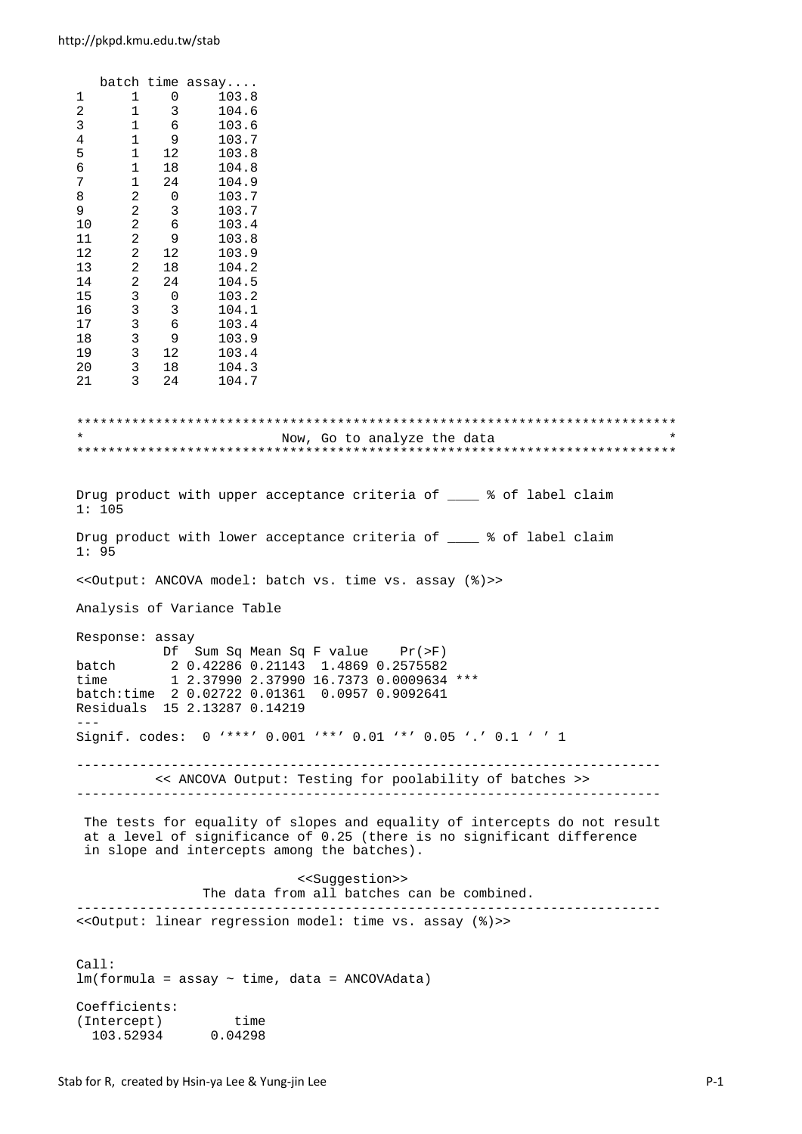batch time assay.... 1 1 0 103.8<br>2 1 3 104.6 2 1 3 104.6<br>3 1 6 103.6  $\begin{array}{ccccccccc}\n3 & & & 1 & & 6 \\
4 & & & 1 & & 9\n\end{array}$ 103.7 5 1 12 103.8 6 1 18 104.8 7 1 24 104.9 8 2 0 103.7 9 2 3 103.7 10 2 6 103.4<br>11 2 9 103.8 11 2 9 103.8 12 2 12 103.9 13 2 18 104.2 14 2 24 104.5<br>15 3 0 103.2 15 3 0 103.2 16 3 3 104.1 17 3 6 103.4 18 3 9 103.9<br>19 3 12 103.4 19 3 12 103.4 3 18 21 3 24 104.7 \*\*\*\*\*\*\*\*\*\*\*\*\*\*\*\*\*\*\*\*\*\*\*\*\*\*\*\*\*\*\*\*\*\*\*\*\*\*\*\*\*\*\*\*\*\*\*\*\*\*\*\*\*\*\*\*\*\*\*\*\*\*\*\*\*\*\*\*\*\*\*\*\*\*\*\* Now, Go to analyze the data \*\*\*\*\*\*\*\*\*\*\*\*\*\*\*\*\*\*\*\*\*\*\*\*\*\*\*\*\*\*\*\*\*\*\*\*\*\*\*\*\*\*\*\*\*\*\*\*\*\*\*\*\*\*\*\*\*\*\*\*\*\*\*\*\*\*\*\*\*\*\*\*\*\*\*\* Drug product with upper acceptance criteria of  $\frac{1}{2}$  of label claim 1: 105 Drug product with lower acceptance criteria of \_\_\_\_ % of label claim 1: 95 <<Output: ANCOVA model: batch vs. time vs. assay (%)>> Analysis of Variance Table Response: assay Df Sum Sq Mean Sq F value Pr(>F) batch 2 0.42286 0.21143 1.4869 0.2575582 time 1 2.37990 2.37990 16.7373 0.0009634 \*\*\* batch:time 2 0.02722 0.01361 0.0957 0.9092641 Residuals 15 2.13287 0.14219 --- Signif. codes: 0 '\*\*\*' 0.001 '\*\*' 0.01 '\*' 0.05 '.' 0.1 ' ' 1 -------------------------------------------------------------------------- << ANCOVA Output: Testing for poolability of batches >> -------------------------------------------------------------------------- The tests for equality of slopes and equality of intercepts do not result at a level of significance of 0.25 (there is no significant difference in slope and intercepts among the batches). <<Suggestion>> The data from all batches can be combined. -------------------------------------------------------------------------- <<Output: linear regression model: time vs. assay (%)>>  $C<sub>a</sub>11$ :  $lm(formula = assay ~ time, data = ANCOVAdata)$ Coefficients:<br>(Intercept) (Intercept) time 103.52934 0.04298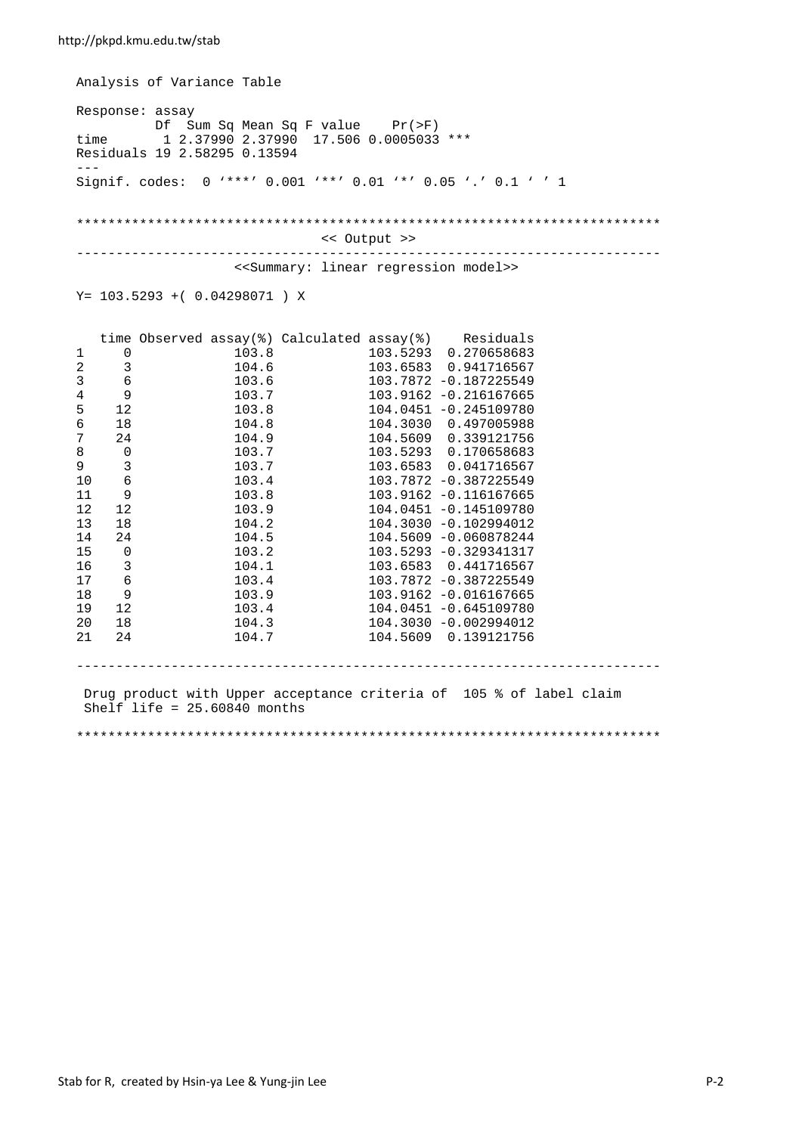Analysis of Variance Table Response: assay Df Sum Sq Mean Sq F value Pr(>F)<br>time 1 2.37990 2.37990 17.506 0.0005033 time 1 2.37990 2.37990 17.506 0.0005033 \*\*\* Residuals 19 2.58295 0.13594 --- Signif. codes: 0 '\*\*\*' 0.001 '\*\*' 0.01 '\*' 0.05 '.' 0.1 ' ' 1 \*\*\*\*\*\*\*\*\*\*\*\*\*\*\*\*\*\*\*\*\*\*\*\*\*\*\*\*\*\*\*\*\*\*\*\*\*\*\*\*\*\*\*\*\*\*\*\*\*\*\*\*\*\*\*\*\*\*\*\*\*\*\*\*\*\*\*\*\*\*\*\*\*\* << Output >> -------------------------------------------------------------------------- <<Summary: linear regression model>> Y= 103.5293 +( 0.04298071 ) X

|    |                         | time Observed assay( $\frac{1}{2}$ ) Calculated assay( $\frac{2}{3}$ ) Residuals |       |                          |  |
|----|-------------------------|----------------------------------------------------------------------------------|-------|--------------------------|--|
| 1  | 0                       |                                                                                  | 103.8 | 103.5293  0.270658683    |  |
| 2  | 3                       | 104.6                                                                            |       | 103.6583  0.941716567    |  |
| 3  | $\epsilon$              | 103.6                                                                            |       | 103.7872 -0.187225549    |  |
| 4  | 9                       | 103.7                                                                            |       | 103.9162 -0.216167665    |  |
| 5  | 12                      | 103.8                                                                            |       | 104.0451 -0.245109780    |  |
| 6  | 18                      | 104.8                                                                            |       | 104.3030 0.497005988     |  |
| 7  | 24                      | 104.9                                                                            |       | 104.5609  0.339121756    |  |
| 8  | $\mathbf 0$             | 103.7                                                                            |       | 103.5293  0.170658683    |  |
| 9  | $\overline{3}$          | 103.7                                                                            |       | 103.6583   0.041716567   |  |
| 10 | $\epsilon$              | 103.4                                                                            |       | 103.7872 -0.387225549    |  |
| 11 | 9                       | 103.8                                                                            |       | 103.9162 -0.116167665    |  |
| 12 | 12                      | 103.9                                                                            |       | 104.0451 -0.145109780    |  |
| 13 | 18                      | 104.2                                                                            |       | $104.3030 - 0.102994012$ |  |
| 14 | 24                      | 104.5                                                                            |       | 104.5609 -0.060878244    |  |
| 15 | $\overline{0}$          | 103.2                                                                            |       | 103.5293 -0.329341317    |  |
| 16 | $\overline{\mathbf{3}}$ | 104.1                                                                            |       | 103.6583  0.441716567    |  |
| 17 | $\epsilon$              | 103.4                                                                            |       | 103.7872 -0.387225549    |  |
| 18 | 9                       | 103.9                                                                            |       | 103.9162 -0.016167665    |  |
| 19 | 12                      | 103.4                                                                            |       | $104.0451$ -0.645109780  |  |
| 20 | 18                      | 104.3                                                                            |       | 104.3030 -0.002994012    |  |
| 21 | 24                      | 104.7                                                                            |       | 104.5609  0.139121756    |  |
|    |                         |                                                                                  |       |                          |  |

 Drug product with Upper acceptance criteria of 105 % of label claim Shelf life = 25.60840 months

--------------------------------------------------------------------------

\*\*\*\*\*\*\*\*\*\*\*\*\*\*\*\*\*\*\*\*\*\*\*\*\*\*\*\*\*\*\*\*\*\*\*\*\*\*\*\*\*\*\*\*\*\*\*\*\*\*\*\*\*\*\*\*\*\*\*\*\*\*\*\*\*\*\*\*\*\*\*\*\*\*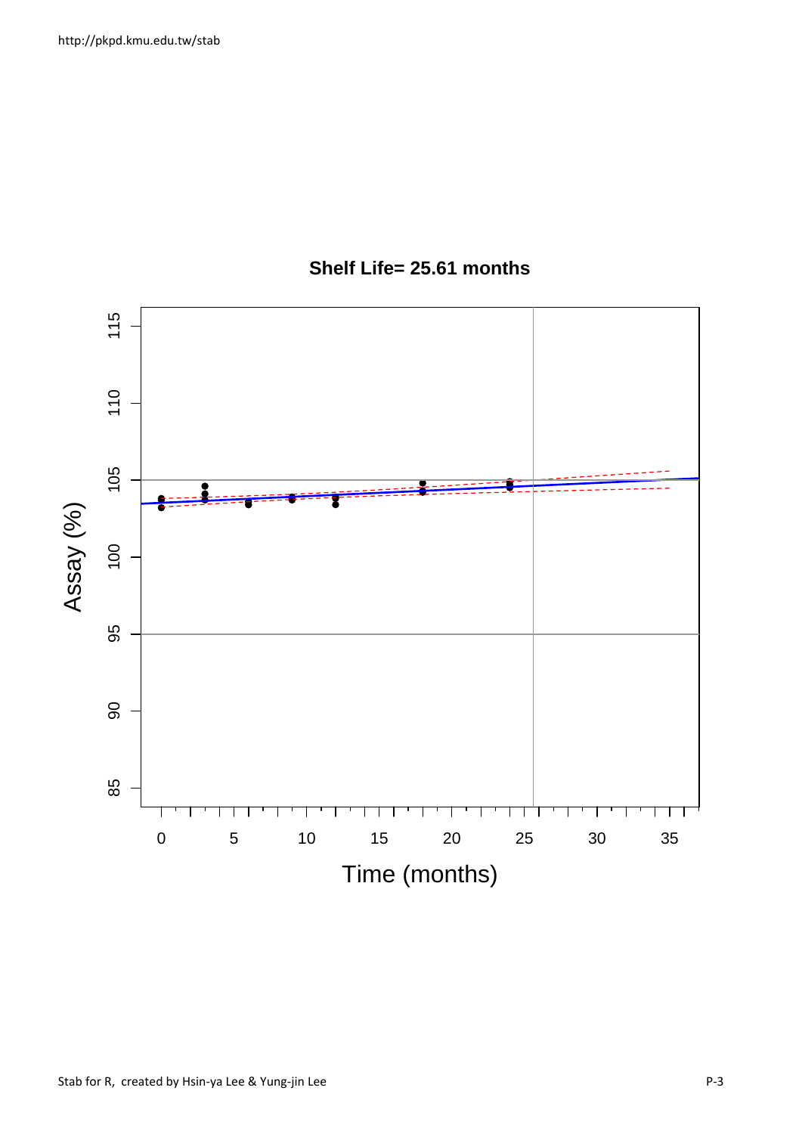

## **Shelf Life= 25.61 months**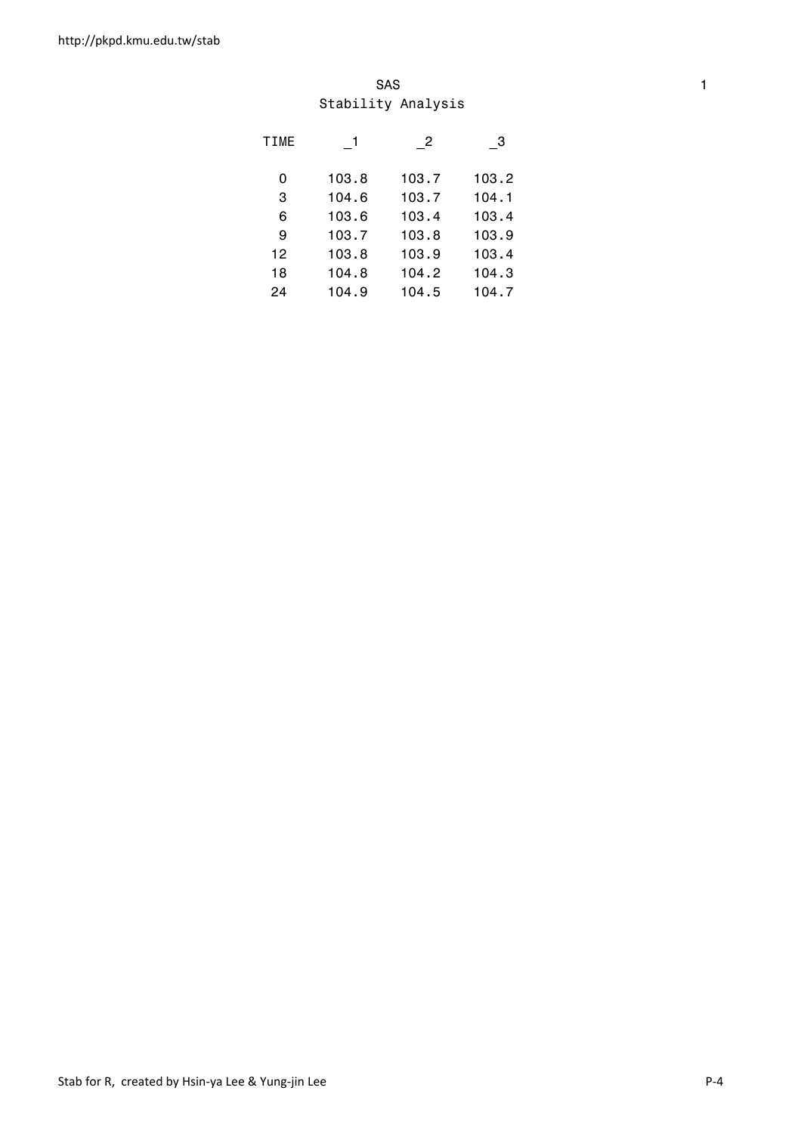#### SAS and the state of the state of the state of the state of the state of the state of the state of the state of the state of the state of the state of the state of the state of the state of the state of the state of the st Stability Analysis

| <b>TIME</b> |       | - 2   | - 3   |
|-------------|-------|-------|-------|
| 0           | 103.8 | 103.7 | 103.2 |
| 3           | 104.6 | 103.7 | 104.1 |
| 6           | 103.6 | 103.4 | 103.4 |
| 9           | 103.7 | 103.8 | 103.9 |
| 12          | 103.8 | 103.9 | 103.4 |
| 18          | 104.8 | 104.2 | 104.3 |
| 24          | 104.9 | 104.5 | 104.7 |
|             |       |       |       |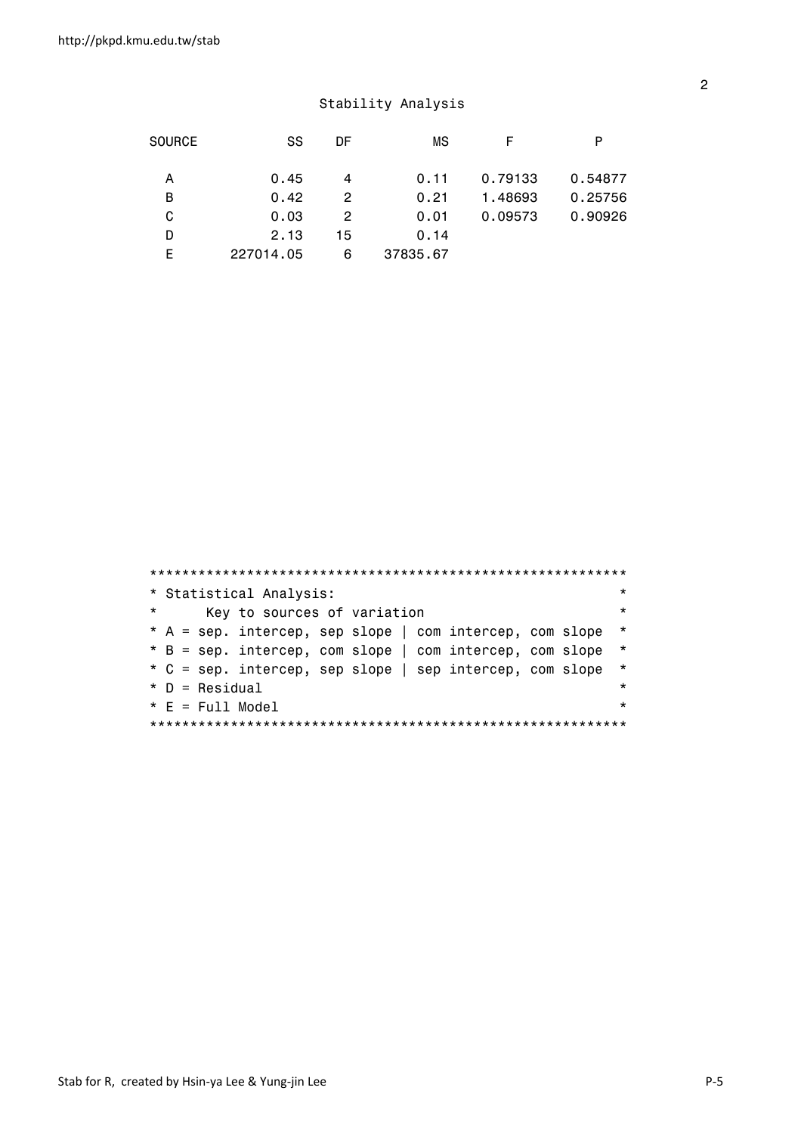|   | <b>SOURCE</b><br>SS | DF | ΜS       |         | P       |
|---|---------------------|----|----------|---------|---------|
|   |                     |    |          |         |         |
| A | 0.45                | 4  | 0.11     | 0.79133 | 0.54877 |
| В | 0.42                | 2  | 0.21     | 1.48693 | 0.25756 |
| C | 0.03                | 2  | 0.01     | 0.09573 | 0.90926 |
| D | 2.13                | 15 | 0.14     |         |         |
| F | 227014.05           | 6  | 37835.67 |         |         |

|          | * Statistical Analysis:                                  | $\star$ |
|----------|----------------------------------------------------------|---------|
| $^\star$ | Key to sources of variation                              | $\star$ |
|          | * A = sep. intercep, sep slope   com intercep, com slope | $\star$ |
|          | * B = sep. intercep, com slope   com intercep, com slope | $\star$ |
|          | * C = sep. intercep, sep slope   sep intercep, com slope | $\star$ |
|          | $*$ D = Residual                                         | $\star$ |
|          | $* E = Full Model$                                       | $\star$ |
|          |                                                          |         |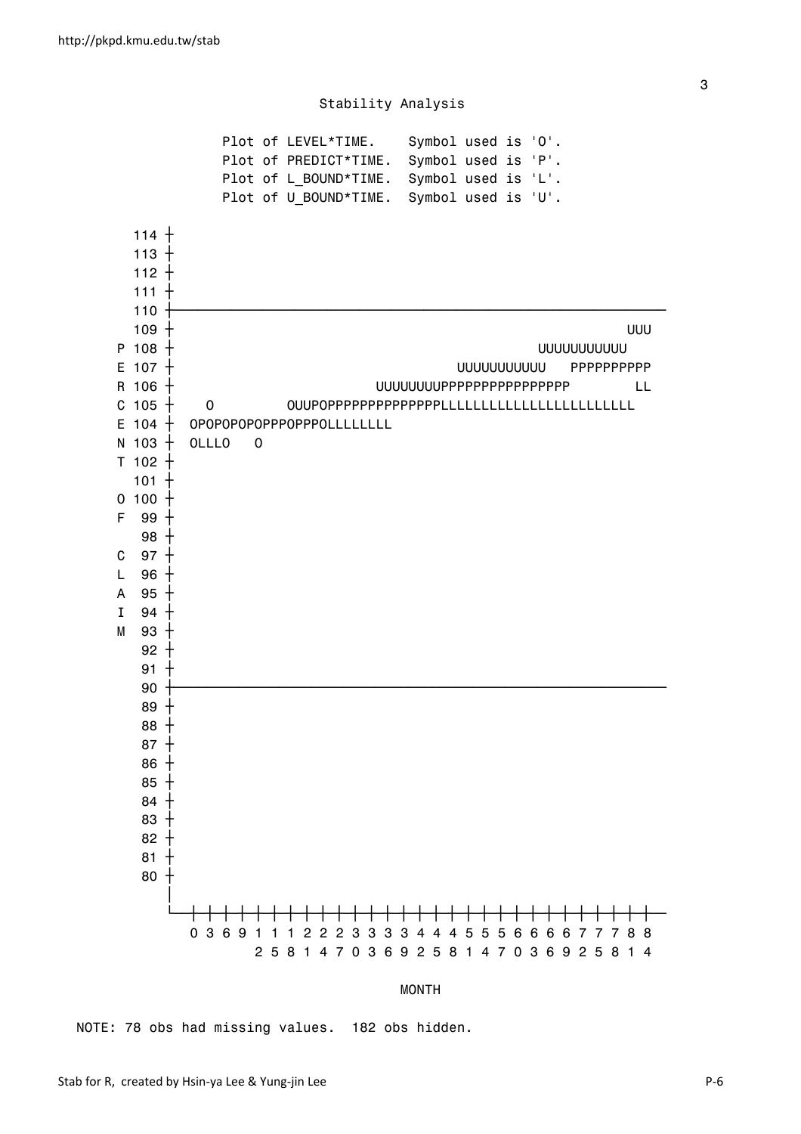

MONTH

NOTE: 78 obs had missing values. 182 obs hidden.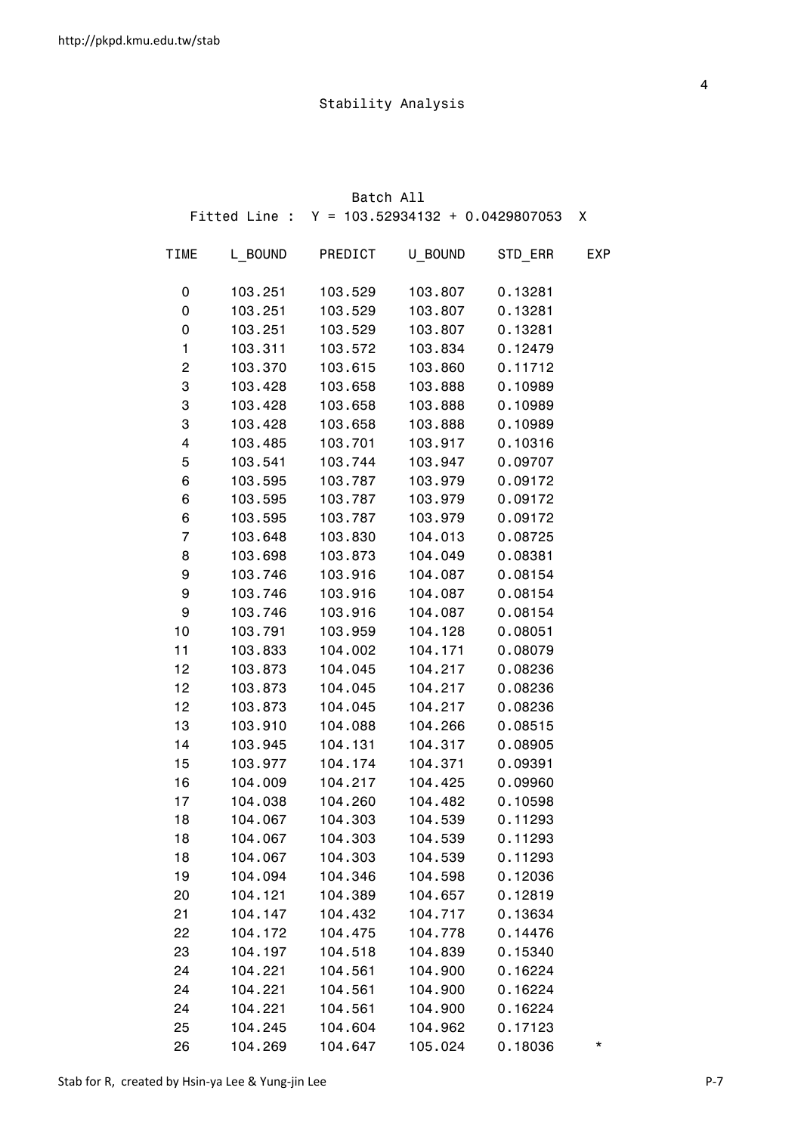|                         |         | Batch All |                                                 |         |              |
|-------------------------|---------|-----------|-------------------------------------------------|---------|--------------|
|                         |         |           | Fitted Line : $Y = 103.52934132 + 0.0429807053$ |         | $\mathsf{X}$ |
| <b>TIME</b>             | L BOUND | PREDICT   | U_BOUND                                         | STD_ERR | <b>EXP</b>   |
| 0                       | 103.251 | 103.529   | 103.807                                         | 0.13281 |              |
| 0                       | 103.251 | 103.529   | 103.807                                         | 0.13281 |              |
| 0                       | 103.251 | 103.529   | 103.807                                         | 0.13281 |              |
| $\mathbf{1}$            | 103.311 | 103.572   | 103.834                                         | 0.12479 |              |
| $\overline{\mathbf{c}}$ | 103.370 | 103.615   | 103.860                                         | 0.11712 |              |
| 3                       | 103.428 | 103.658   | 103.888                                         | 0.10989 |              |
| 3                       | 103.428 | 103.658   | 103.888                                         | 0.10989 |              |
| 3                       | 103.428 | 103.658   | 103.888                                         | 0.10989 |              |
| 4                       | 103.485 | 103.701   | 103.917                                         | 0.10316 |              |
| 5                       | 103.541 | 103.744   | 103.947                                         | 0.09707 |              |
| 6                       | 103.595 | 103.787   | 103.979                                         | 0.09172 |              |
| 6                       | 103.595 | 103.787   | 103.979                                         | 0.09172 |              |
| 6                       | 103.595 | 103.787   | 103.979                                         | 0.09172 |              |
| 7                       | 103.648 | 103.830   | 104.013                                         | 0.08725 |              |
| 8                       | 103.698 | 103.873   | 104.049                                         | 0.08381 |              |
| 9                       | 103.746 | 103.916   | 104.087                                         | 0.08154 |              |
| 9                       | 103.746 | 103.916   | 104.087                                         | 0.08154 |              |
| 9                       | 103.746 | 103.916   | 104.087                                         | 0.08154 |              |
| 10                      | 103.791 | 103.959   | 104.128                                         | 0.08051 |              |
| 11                      | 103.833 | 104.002   | 104.171                                         | 0.08079 |              |
| 12                      | 103.873 | 104.045   | 104.217                                         | 0.08236 |              |
| 12                      | 103.873 | 104.045   | 104.217                                         | 0.08236 |              |
| 12                      | 103.873 | 104.045   | 104.217                                         | 0.08236 |              |
| 13                      | 103.910 | 104.088   | 104.266                                         | 0.08515 |              |
| 14                      | 103.945 | 104.131   | 104.317                                         | 0.08905 |              |
| 15                      | 103.977 | 104.174   | 104.371                                         | 0.09391 |              |
| 16                      | 104.009 | 104.217   | 104.425                                         | 0.09960 |              |
| 17                      | 104.038 | 104.260   | 104.482                                         | 0.10598 |              |
| 18                      | 104.067 | 104.303   | 104.539                                         | 0.11293 |              |
| 18                      | 104.067 | 104.303   | 104.539                                         | 0.11293 |              |
| 18                      | 104.067 | 104.303   | 104.539                                         | 0.11293 |              |
| 19                      | 104.094 | 104.346   | 104.598                                         | 0.12036 |              |
| 20                      | 104.121 | 104.389   | 104.657                                         | 0.12819 |              |
| 21                      | 104.147 | 104.432   | 104.717                                         | 0.13634 |              |
| 22                      | 104.172 | 104.475   | 104.778                                         | 0.14476 |              |
| 23                      | 104.197 | 104.518   | 104.839                                         | 0.15340 |              |
| 24                      | 104.221 | 104.561   | 104.900                                         | 0.16224 |              |
| 24                      | 104.221 | 104.561   | 104.900                                         | 0.16224 |              |
| 24                      | 104.221 | 104.561   | 104.900                                         | 0.16224 |              |
| 25                      | 104.245 | 104.604   | 104.962                                         | 0.17123 |              |
| 26                      | 104.269 | 104.647   | 105.024                                         | 0.18036 | *            |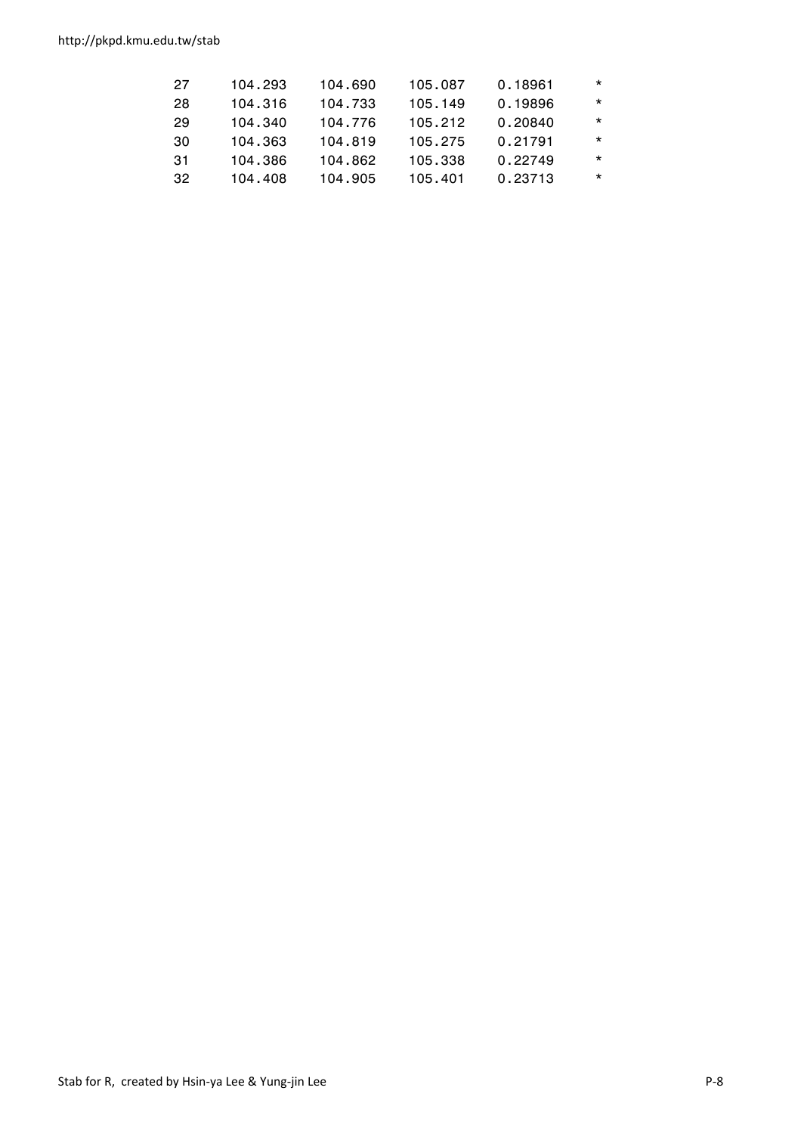http://pkpd.kmu.edu.tw/stab

| 27  | 104.293 | 104.690 | 105.087 | 0.18961 | $\star$ |
|-----|---------|---------|---------|---------|---------|
| 28  | 104.316 | 104.733 | 105.149 | 0.19896 | $\star$ |
| 29  | 104.340 | 104.776 | 105.212 | 0.20840 | $\star$ |
| 30  | 104.363 | 104.819 | 105.275 | 0.21791 | $\star$ |
| .31 | 104.386 | 104.862 | 105.338 | 0.22749 | $\star$ |
| 32  | 104.408 | 104.905 | 105.401 | 0.23713 | $\star$ |
|     |         |         |         |         |         |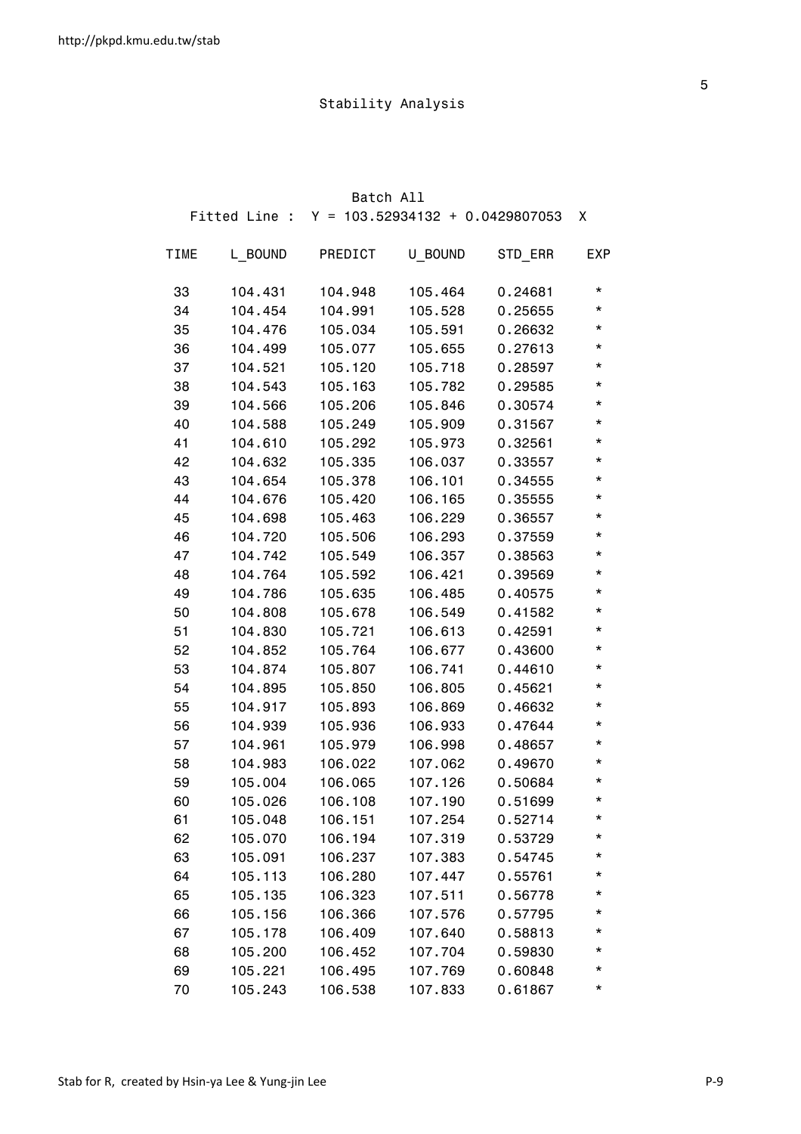| Batch All   |         |                                                 |         |         |            |
|-------------|---------|-------------------------------------------------|---------|---------|------------|
|             |         | Fitted Line : $Y = 103.52934132 + 0.0429807053$ |         |         | X          |
| <b>TIME</b> | L BOUND | PREDICT                                         | U BOUND | STD_ERR | <b>EXP</b> |
| 33          | 104.431 | 104.948                                         | 105.464 | 0.24681 | *          |
| 34          | 104.454 | 104.991                                         | 105.528 | 0.25655 | $^\star$   |
| 35          | 104.476 | 105.034                                         | 105.591 | 0.26632 | *          |
| 36          | 104.499 | 105.077                                         | 105.655 | 0.27613 | *          |
| 37          | 104.521 | 105.120                                         | 105.718 | 0.28597 | *          |
| 38          | 104.543 | 105.163                                         | 105.782 | 0.29585 | $^\star$   |
| 39          | 104.566 | 105.206                                         | 105.846 | 0.30574 | *          |
| 40          | 104.588 | 105.249                                         | 105.909 | 0.31567 | $^\star$   |
| 41          | 104.610 | 105.292                                         | 105.973 | 0.32561 | $^\star$   |
| 42          | 104.632 | 105.335                                         | 106.037 | 0.33557 | *          |
| 43          | 104.654 | 105.378                                         | 106.101 | 0.34555 | *          |
| 44          | 104.676 | 105.420                                         | 106.165 | 0.35555 | $^\star$   |
| 45          | 104.698 | 105.463                                         | 106.229 | 0.36557 | *          |
| 46          | 104.720 | 105.506                                         | 106.293 | 0.37559 | $^\star$   |
| 47          | 104.742 | 105.549                                         | 106.357 | 0.38563 | $^\star$   |
| 48          | 104.764 | 105.592                                         | 106.421 | 0.39569 | *          |
| 49          | 104.786 | 105.635                                         | 106.485 | 0.40575 | *          |
| 50          | 104.808 | 105.678                                         | 106.549 | 0.41582 | $^\star$   |
| 51          | 104.830 | 105.721                                         | 106.613 | 0.42591 | *          |
| 52          | 104.852 | 105.764                                         | 106.677 | 0.43600 | $^\star$   |
| 53          | 104.874 | 105.807                                         | 106.741 | 0.44610 | $^\star$   |
| 54          | 104.895 | 105.850                                         | 106.805 | 0.45621 | *          |
| 55          | 104.917 | 105.893                                         | 106.869 | 0.46632 | *          |
| 56          | 104.939 | 105.936                                         | 106.933 | 0.47644 | $^\star$   |
| 57          | 104.961 | 105.979                                         | 106.998 | 0.48657 | $^\star$   |
| 58          | 104.983 | 106.022                                         | 107.062 | 0.49670 | $^\star$   |
| 59          | 105.004 | 106.065                                         | 107.126 | 0.50684 | $^\star$   |
| 60          | 105.026 | 106.108                                         | 107.190 | 0.51699 |            |
| 61          | 105.048 | 106.151                                         | 107.254 | 0.52714 | *          |
| 62          | 105.070 | 106.194                                         | 107.319 | 0.53729 | *          |
| 63          | 105.091 | 106.237                                         | 107.383 | 0.54745 | *          |
| 64          | 105.113 | 106.280                                         | 107.447 | 0.55761 | *          |
| 65          | 105.135 | 106.323                                         | 107.511 | 0.56778 | *          |
| 66          | 105.156 | 106.366                                         | 107.576 | 0.57795 | *          |
| 67          | 105.178 | 106.409                                         | 107.640 | 0.58813 | *          |
| 68          | 105.200 | 106.452                                         | 107.704 | 0.59830 | *          |
| 69          | 105.221 | 106.495                                         | 107.769 | 0.60848 | *          |
| 70          | 105.243 | 106.538                                         | 107.833 | 0.61867 | *          |

the contract of the contract of the contract of the contract of the contract of the contract of the contract of the contract of the contract of the contract of the contract of the contract of the contract of the contract o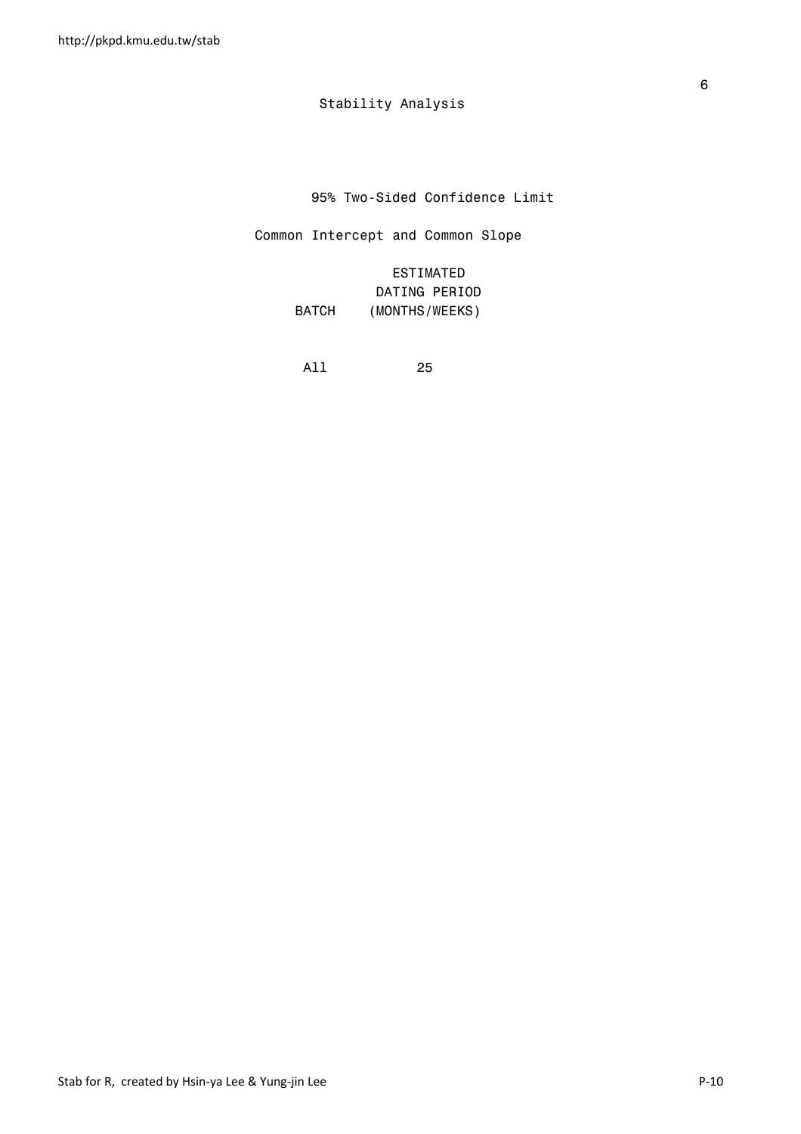95% Two-Sided Confidence Limit

Common Intercept and Common Slope

 ESTIMATED DATING PERIOD BATCH (MONTHS/WEEKS)

All 25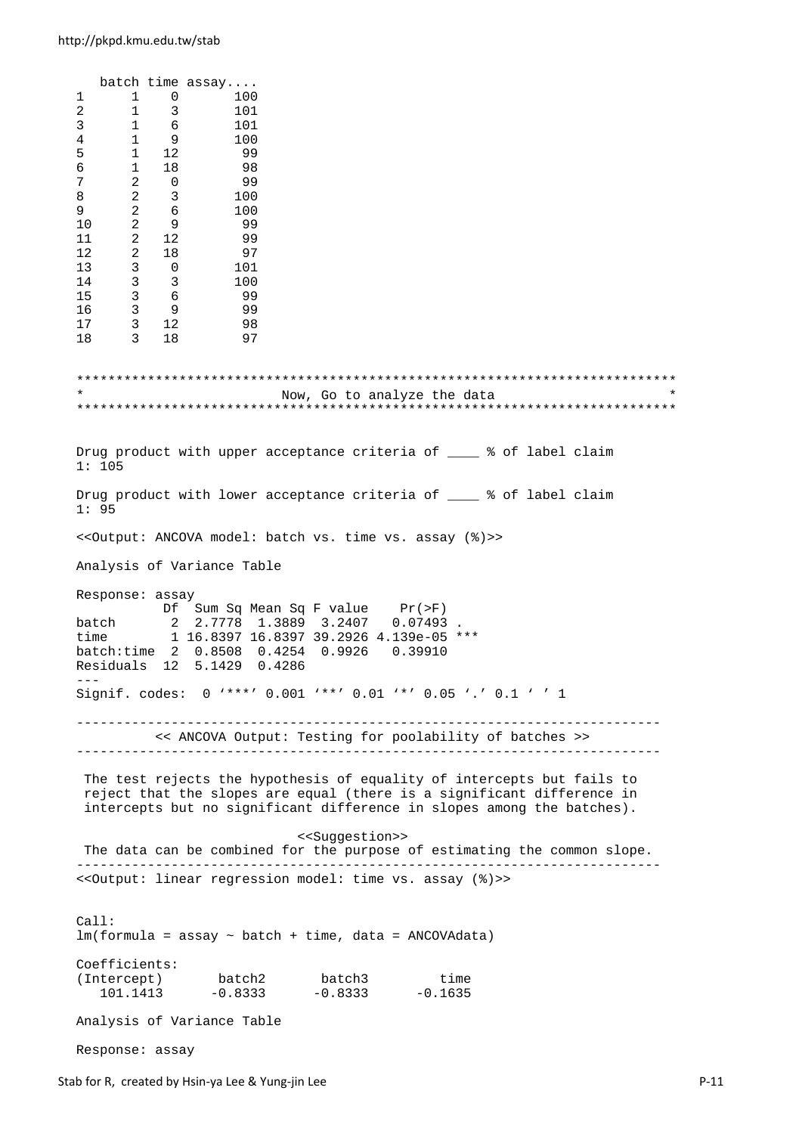batch time assay.... 1 1 0 100 2 1 3 101 3 1 6 101 100<br>99 5 1 12 99 1 18 7 2 0 99  $\begin{array}{c} 3 \\ 6 \\ 9 \end{array}$ 9 2 6 100<br>10 2 9 99  $\begin{array}{ccc} 2 & 9 & 99 \\ 2 & 12 & 99 \end{array}$ 11 2 12 12 2 18  $\begin{array}{cccc} 13 & & 3 & & 0 \\ 14 & & 3 & & 3 \end{array}$ 14 3 3 100 15 3 6 99 16 3 9 99 17 3 12 98  $17 \t 3 \t 18 \t 97$ \*\*\*\*\*\*\*\*\*\*\*\*\*\*\*\*\*\*\*\*\*\*\*\*\*\*\*\*\*\*\*\*\*\*\*\*\*\*\*\*\*\*\*\*\*\*\*\*\*\*\*\*\*\*\*\*\*\*\*\*\*\*\*\*\*\*\*\*\*\*\*\*\*\*\*\* Now, Go to analyze the data \*\*\*\*\*\*\*\*\*\*\*\*\*\*\*\*\*\*\*\*\*\*\*\*\*\*\*\*\*\*\*\*\*\*\*\*\*\*\*\*\*\*\*\*\*\*\*\*\*\*\*\*\*\*\*\*\*\*\*\*\*\*\*\*\*\*\*\*\*\*\*\*\*\*\*\* Drug product with upper acceptance criteria of \_\_\_\_ % of label claim 1: 105 Drug product with lower acceptance criteria of  $\frac{1}{2}$  of label claim 1: 95 <<Output: ANCOVA model: batch vs. time vs. assay (%)>> Analysis of Variance Table Response: assay Df Sum Sq Mean Sq F value Pr(>F) batch 2 2.7778 1.3889 3.2407 0.07493 . time 1 16.8397 16.8397 39.2926 4.139e-05 \*\*\* batch:time 2 0.8508 0.4254 0.9926 0.39910 Residuals 12 5.1429 0.4286 --- Signif. codes: 0 '\*\*\*' 0.001 '\*\*' 0.01 '\*' 0.05 '.' 0.1 ' ' 1 -------------------------------------------------------------------------- << ANCOVA Output: Testing for poolability of batches >> -------------------------------------------------------------------------- The test rejects the hypothesis of equality of intercepts but fails to reject that the slopes are equal (there is a significant difference in intercepts but no significant difference in slopes among the batches). <<Suggestion>> The data can be combined for the purpose of estimating the common slope. -------------------------------------------------------------------------- <<Output: linear regression model: time vs. assay (%)>> Call:  $lm(formula = assay ~ batch + time, data = ANCOVAdata)$ Coefficients: (Intercept) batch2 batch3 time 101.1413 -0.8333 -0.8333 -0.1635 Analysis of Variance Table

Response: assay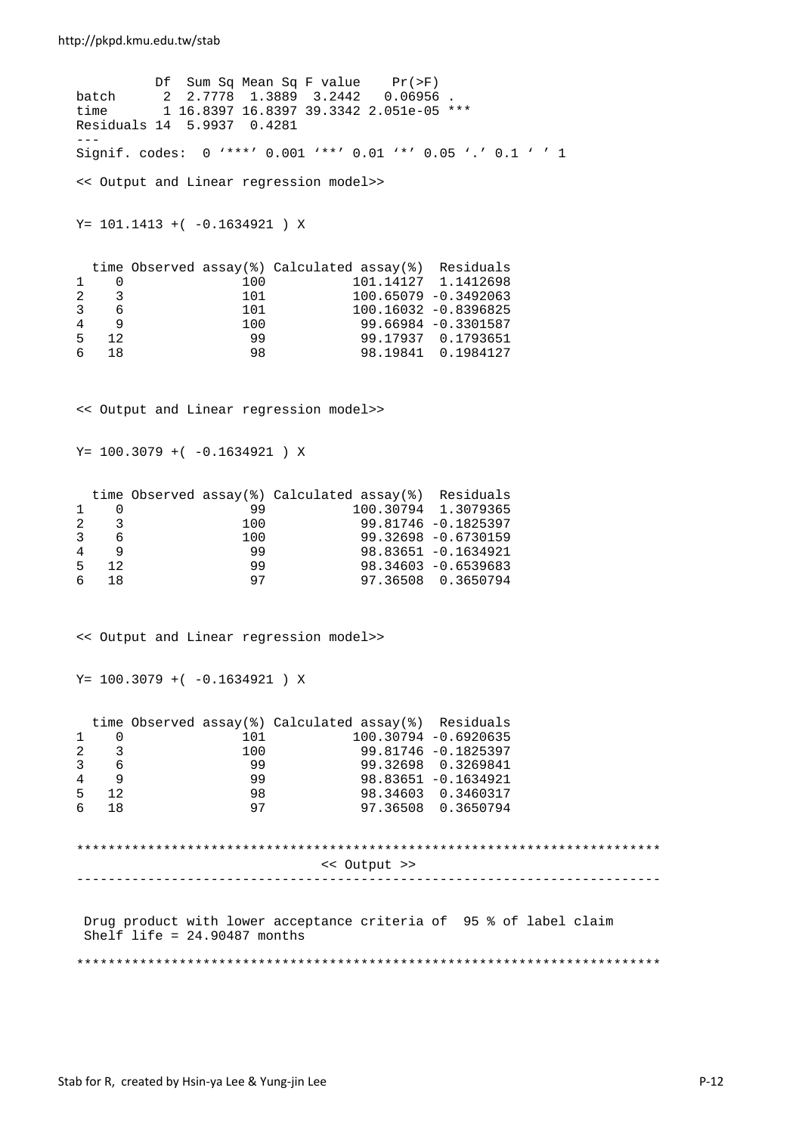#### http://pkpd.kmu.edu.tw/stab

 Df Sum Sq Mean Sq F value Pr(>F) batch 2 2.7778 1.3889 3.2442 0.06956 time 1 16.8397 16.8397 39.3342 2.051e-05 \*\*\* Residuals 14 5.9937 0.4281 --- Signif. codes: 0 '\*\*\*' 0.001 '\*\*' 0.01 '\*' 0.05 '.' 0.1 ' ' 1 << Output and Linear regression model>> Y= 101.1413 +( -0.1634921 ) X time Observed assay(%) Calculated assay(%) Residuals<br>0 100 101.14127 1.1412698  $\begin{array}{ccccccccc}\n 1 & 0 & & & & 100 & & & & 101.14127 & 1.1412698 \\
 2 & 3 & & & & & 101 & & & & 100.65079 & -0.3492063\n \end{array}$ 2 3 101 100.65079 -0.3492063 3 6 101 100.16032 -0.8396825 4 9 100 99.66984 -0.3301587 5 12 99 99.17937 0.1793651 6 18 98 98.19841 0.1984127 << Output and Linear regression model>>  $Y= 100.3079 + (-0.1634921) X$  time Observed assay(%) Calculated assay(%) Residuals  $\begin{array}{cccccccc} 1 & 0 & & & 99 & & & 100.30794 & 1.3079365 \ 2 & 3 & & & 100 & & & 99.81746 & -0.1825397 \end{array}$ 2 3 100 99.81746 -0.1825397 3 6 100 99.32698 -0.6730159 4 9<br>5 12 99 98.83651 -0.1634921<br>98.34603 -0.6539683 5 12 99 98.34603 -0.6539683 6 18 97 97.36508 0.3650794 << Output and Linear regression model>> Y= 100.3079 +( -0.1634921 ) X time Observed assay(%) Calculated assay(%) Residuals 1 0 101 100.30794 -0.6920635 2 3 100 99.81746 −0.1825397<br>3 6 99 99.32698 0.3269841 3 6 99 99.32698 0.3269841 4 9 99 98.83651 -0.1634921 5 12 98 98.34603 0.3460317 6 18 97 97.36508 0.3650794 \*\*\*\*\*\*\*\*\*\*\*\*\*\*\*\*\*\*\*\*\*\*\*\*\*\*\*\*\*\*\*\*\*\*\*\*\*\*\*\*\*\*\*\*\*\*\*\*\*\*\*\*\*\*\*\*\*\*\*\*\*\*\*\*\*\*\*\*\*\*\*\*\*\* << Output >> -------------------------------------------------------------------------- Drug product with lower acceptance criteria of 95 % of label claim Shelf life = 24.90487 months \*\*\*\*\*\*\*\*\*\*\*\*\*\*\*\*\*\*\*\*\*\*\*\*\*\*\*\*\*\*\*\*\*\*\*\*\*\*\*\*\*\*\*\*\*\*\*\*\*\*\*\*\*\*\*\*\*\*\*\*\*\*\*\*\*\*\*\*\*\*\*\*\*\*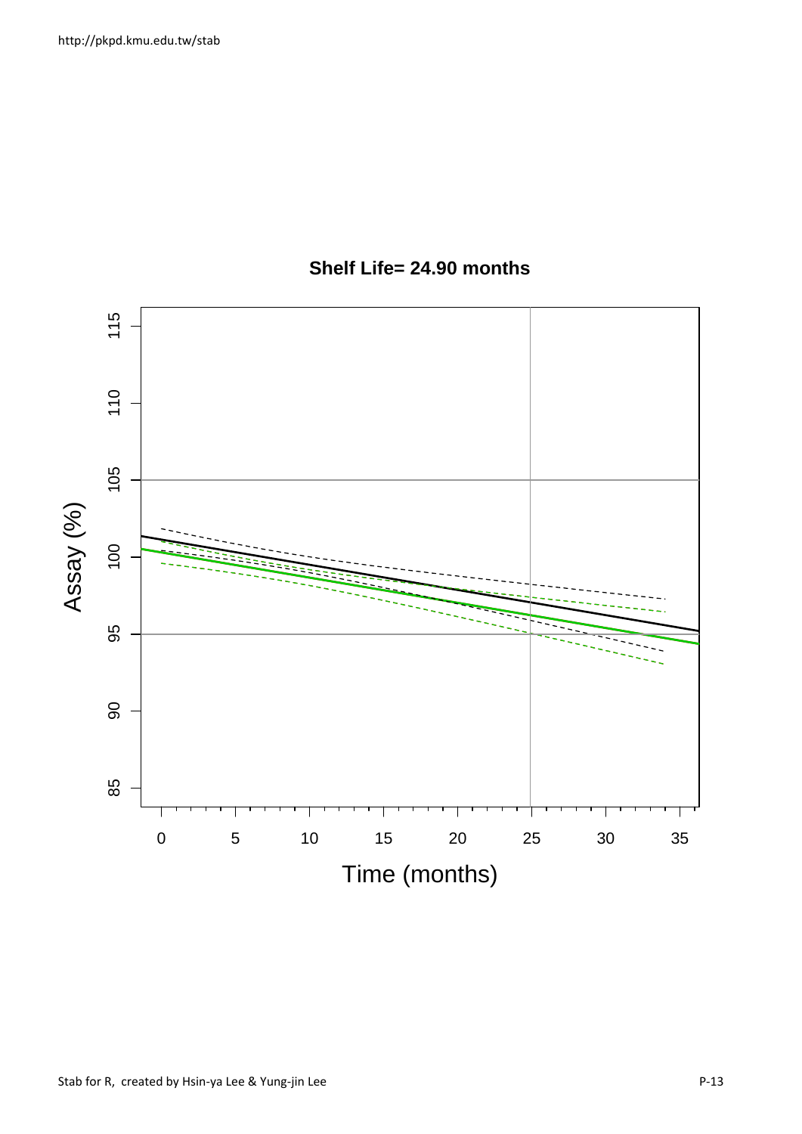

## **Shelf Life= 24.90 months**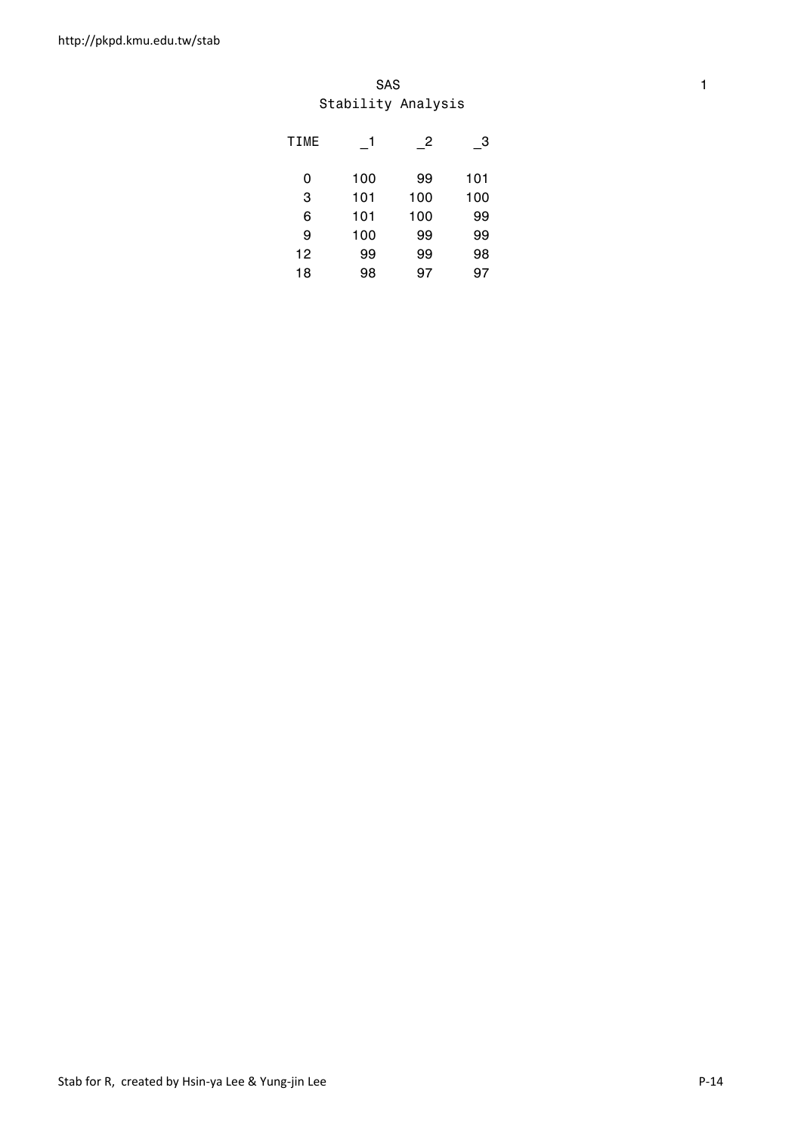#### SAS and the state of the state of the state of the state of the state of the state of the state of the state of the state of the state of the state of the state of the state of the state of the state of the state of the st Stability Analysis

| <b>TIME</b> |     | $\overline{c}$ | 3   |
|-------------|-----|----------------|-----|
| 0           | 100 | 99             | 101 |
| 3           | 101 | 100            | 100 |
| 6           | 101 | 100            | 99  |
| 9           | 100 | 99             | 99  |
| 12          | 99  | 99             | 98  |
| 18          | 98  | 97             | 97  |
|             |     |                |     |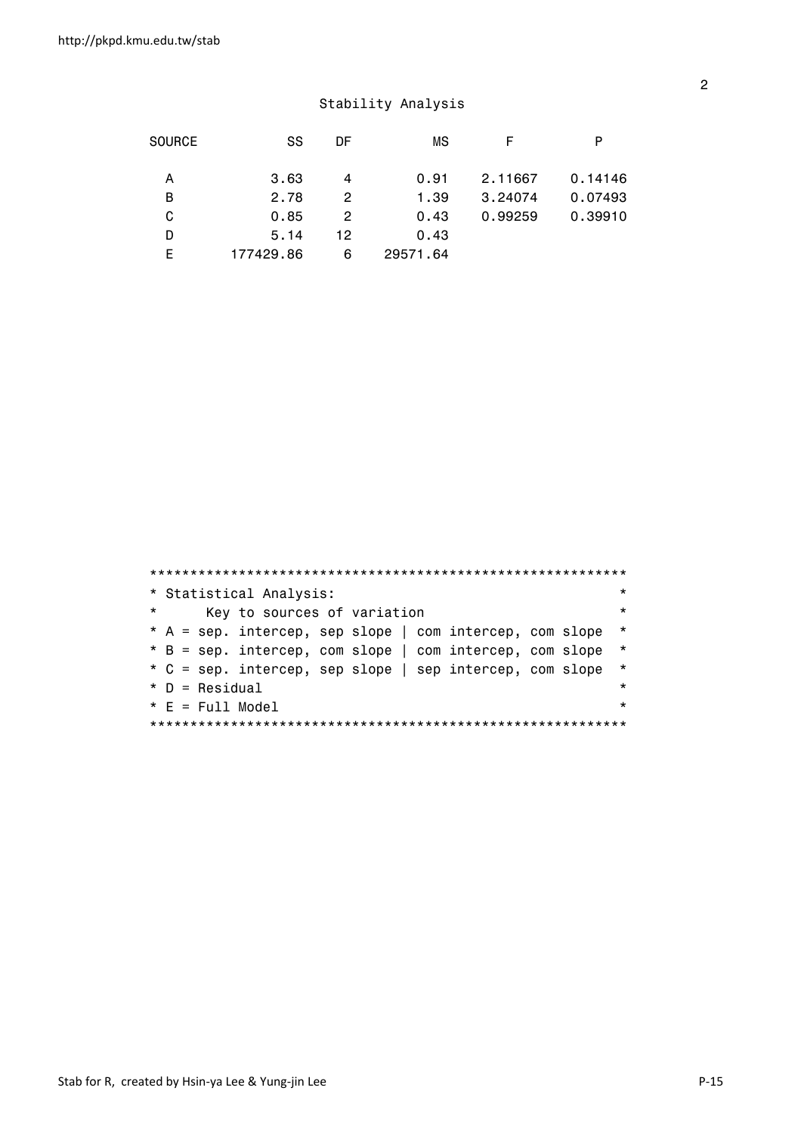| <b>SOURCE</b> | SS        | DF | ΜS       | F       | P       |
|---------------|-----------|----|----------|---------|---------|
| Α             | 3.63      | 4  | 0.91     | 2.11667 | 0.14146 |
| В             | 2.78      | 2  | 1.39     | 3.24074 | 0.07493 |
| C             | 0.85      | 2  | 0.43     | 0.99259 | 0.39910 |
| D             | 5.14      | 12 | 0.43     |         |         |
| F             | 177429.86 | 6  | 29571.64 |         |         |

|         |                                                          | ***     |
|---------|----------------------------------------------------------|---------|
|         | * Statistical Analysis:                                  | $\star$ |
| $\star$ | Key to sources of variation                              | $\star$ |
|         | * A = sep. intercep, sep slope   com intercep, com slope | $\star$ |
|         | * B = sep. intercep, com slope   com intercep, com slope | $\star$ |
|         | * C = sep. intercep, sep slope   sep intercep, com slope | $\star$ |
|         | $*$ D = Residual                                         | $\star$ |
|         | $* E = Full Model$                                       | $\star$ |
|         |                                                          |         |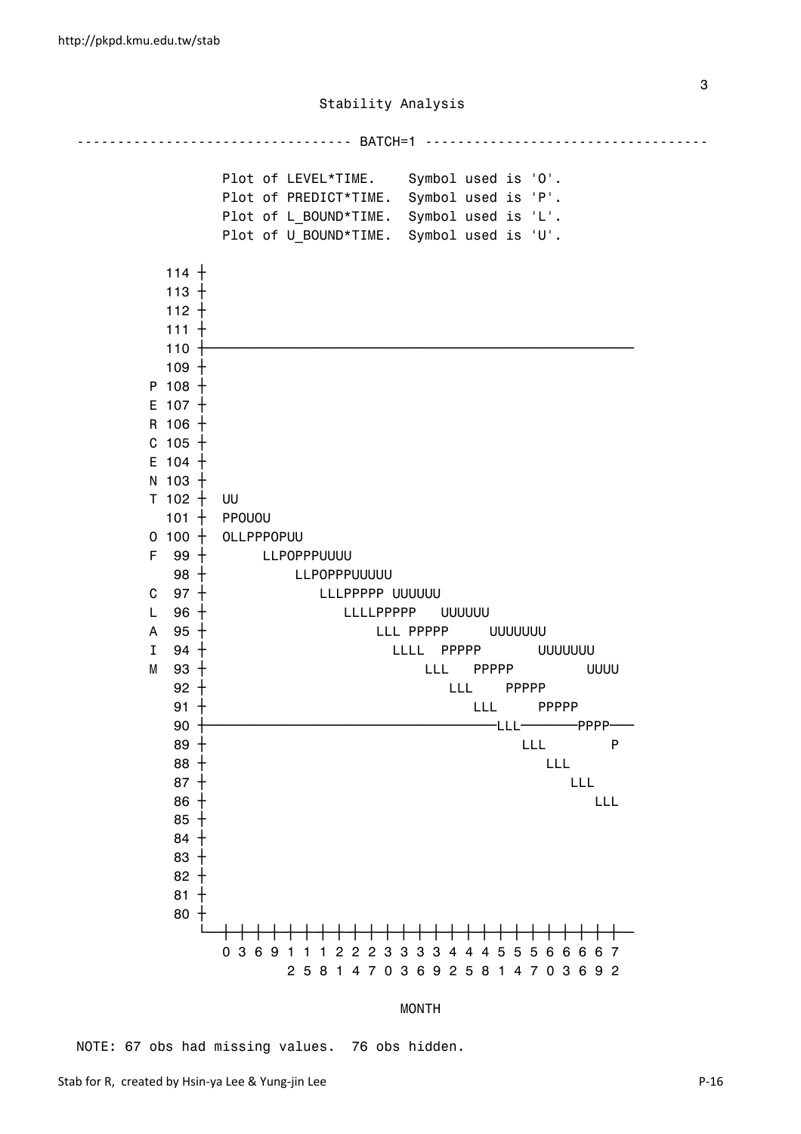---------------------------------- BATCH=1 ----------------------------------- Plot of LEVEL\*TIME. Symbol used is 'O'. Plot of PREDICT\*TIME. Symbol used is 'P'. Plot of L BOUND\*TIME. Symbol used is 'L'. Plot of U\_BOUND\*TIME. Symbol used is 'U'.  $114 +$  $113 +$  112 ┼ 111 ┼ 110 ┼─────────────────────────────────────────────────────  $109 +$  $P$  108  $+$  $E$  107  $+$  $R$  106  $+$  $c$  105  $+$  $E$  104  $+$  $N$  103  $+$  $T$  102  $+$  UU  $101 +$  PPOUOU  $0$  100  $+$  OLLPPPOPUU  $F = 99 + LLPOPPPUUUU$ 98  $+$  LLPOPPPUUUUU C 97 + LLLPPPPP UUUUUU L 96 + LLLLPPPPP UUUUUU  $\overline{A}$  95  $\overline{+}$  LLL PPPPP UUUUUUUU I 94 <del>|</del> LLLL PPPPP UUUUUUU  $M$  93  $+$  LLL PPPPP UUUU 92 LLL PPPPP ┼ 91 LLL PPPPP ┼ 90 ┼──────────────────────────────────── ─────── ─── LLL PPPP  $89 +$  LLL P  $88 +$  $87 +$  $86$   $+$  LLL  $\hphantom{100}$  85 ┼ 84 ┼ 83 ┼ 82 ┼  $81 +$  80 ┼ ─┼─┼─┼─┼─┼─┼─┼─┼ 0 3 6 9 1 1 1 2 2 2 3 3 3 3 4 4 4 5 5 5 6 6 6 6 7 2 5 8 1 4 7 0 3 6 9 2 5 8 1 4 7 0 3 6 9 2

#### MONTH

NOTE: 67 obs had missing values. 76 obs hidden.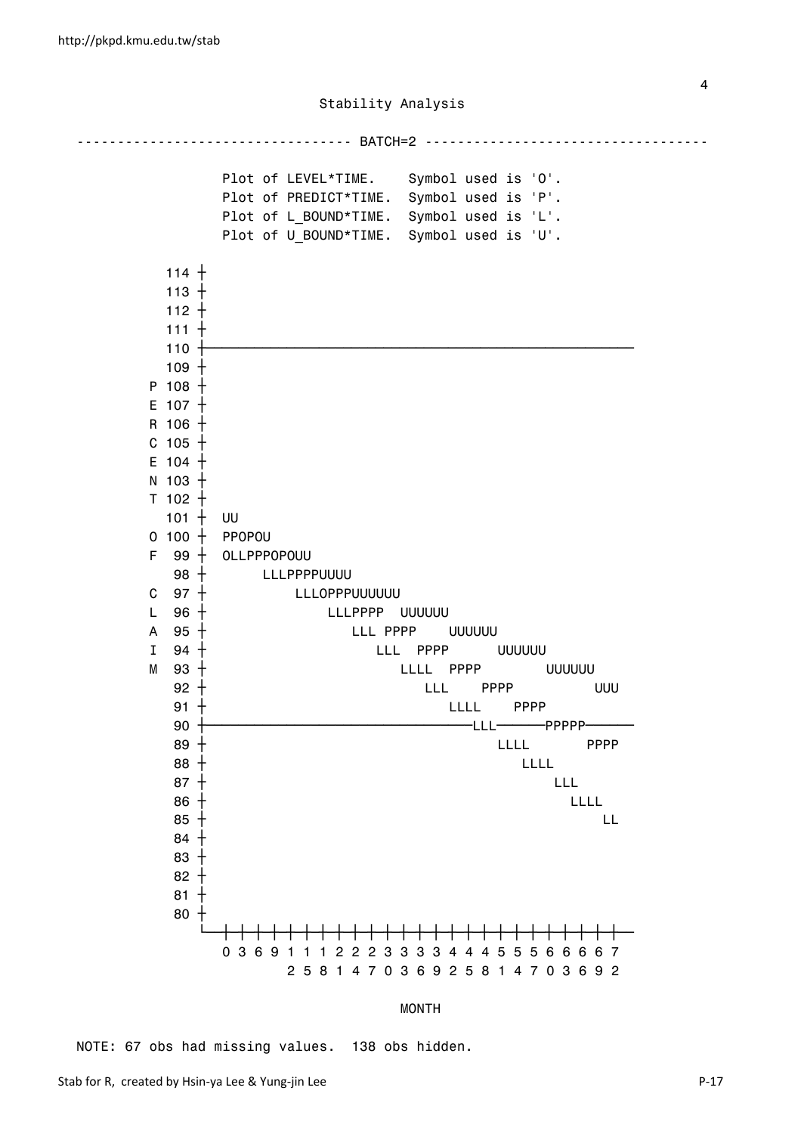---------------------------------- BATCH=2 ----------------------------------- Plot of LEVEL\*TIME. Symbol used is 'O'. Plot of PREDICT\*TIME. Symbol used is 'P'. Plot of L BOUND\*TIME. Symbol used is 'L'. Plot of U\_BOUND\*TIME. Symbol used is 'U'.  $114 +$  $113 +$  112 ┼ 111 ┼ 110 ┼─────────────────────────────────────────────────────  $109 +$  $P$  108  $+$  $E$  107  $+$  R 106 ┼  $c$  105  $+$  $E$  104  $+$  $N$  103  $+$  $T$  102  $+$  $101 + 00$  $0$  100  $+$  PPOPOU  $F$  99  $+$  OLLPPPOPOUU  $98 +$  LLLPPPPUUUU C 97 + LLLOPPPUUUUUUU L 96 + LLLPPPP UUUUUU A 95 <del>|</del> LLL PPPP UUUUUU I 94 <del>|</del> LLL PPPP UUUUUU  $M = 93 + 1$  LLLL PPPP UUUUUU 92 LLL PPPP UUU ┼ 91 LLLL PPPP ┼ 90 ┼───────────────────────────────── ────── ────── LLL PPPPP  $89$   $+$   $100$   $100$   $101$   $101$   $101$   $101$   $101$  $88 +$  $87 +$  $86$   $+$  LLLL  $85$   $+$  LL  $-$  84 ┼ 83 ┼ 82 ┼  $81 +$  80 ┼ ─┼─┼─┼─┼─┼─┼─┼─┼─┼─┼─┼ 0 3 6 9 1 1 1 2 2 2 3 3 3 3 4 4 4 5 5 5 6 6 6 6 7 2 5 8 1 4 7 0 3 6 9 2 5 8 1 4 7 0 3 6 9 2

MONTH

NOTE: 67 obs had missing values. 138 obs hidden.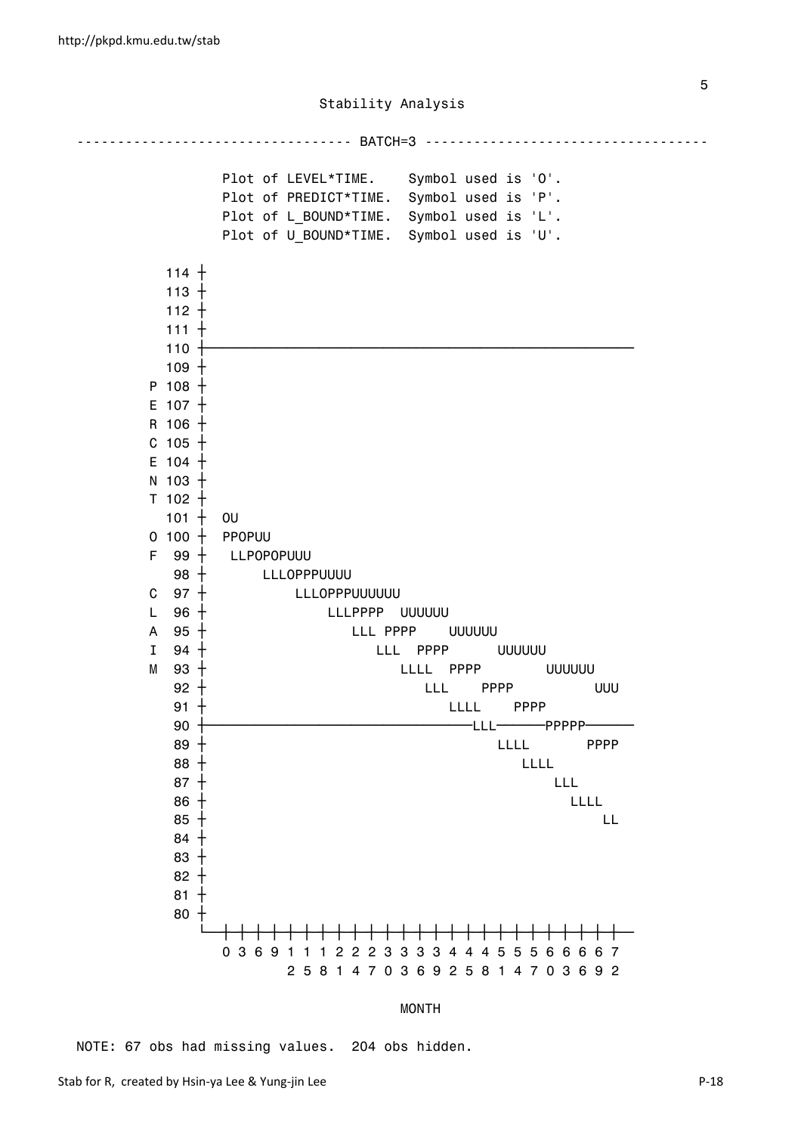---------------------------------- BATCH=3 ----------------------------------- Plot of LEVEL\*TIME. Symbol used is 'O'. Plot of PREDICT\*TIME. Symbol used is 'P'. Plot of L BOUND\*TIME. Symbol used is 'L'. Plot of U\_BOUND\*TIME. Symbol used is 'U'.  $114 +$  $113 +$  112 ┼ 111 ┼ 110 ┼─────────────────────────────────────────────────────  $109 +$  $P$  108  $+$  $E$  107  $+$  R 106 ┼  $c$  105  $+$  $E$  104  $+$  $N$  103  $+$  $T$  102  $+$  $101 + 00$  $0$  100  $+$  PPOPUU  $F$  99  $+$  LLPOPOPUUU  $98 +$  LLLOPPPUUUU C 97 + LLLOPPPUUUUUUU L 96 + LLLPPPP UUUUUU A 95 <del>|</del> LLL PPPP UUUUUU I 94 <del>|</del> LLL PPPP UUUUUU  $M = 93 + 1$  LLLL PPPP UUUUUU 92 LLL PPPP UUU ┼ 91 LLLL PPPP ┼ 90 ┼───────────────────────────────── ────── ────── LLL PPPPP  $89$   $+$   $100$   $100$   $101$   $101$   $101$   $101$   $101$  $88 +$  $87 +$  $86$   $+$  LLLL  $85$   $+$  LL  $-$  84 ┼ 83 ┼ 82 ┼  $81 +$  80 ┼ ─┼─┼─┼─┼─┼─┼─┼─┼─┼─┼ 0 3 6 9 1 1 1 2 2 2 3 3 3 3 4 4 4 5 5 5 6 6 6 6 7 2 5 8 1 4 7 0 3 6 9 2 5 8 1 4 7 0 3 6 9 2

MONTH

NOTE: 67 obs had missing values. 204 obs hidden.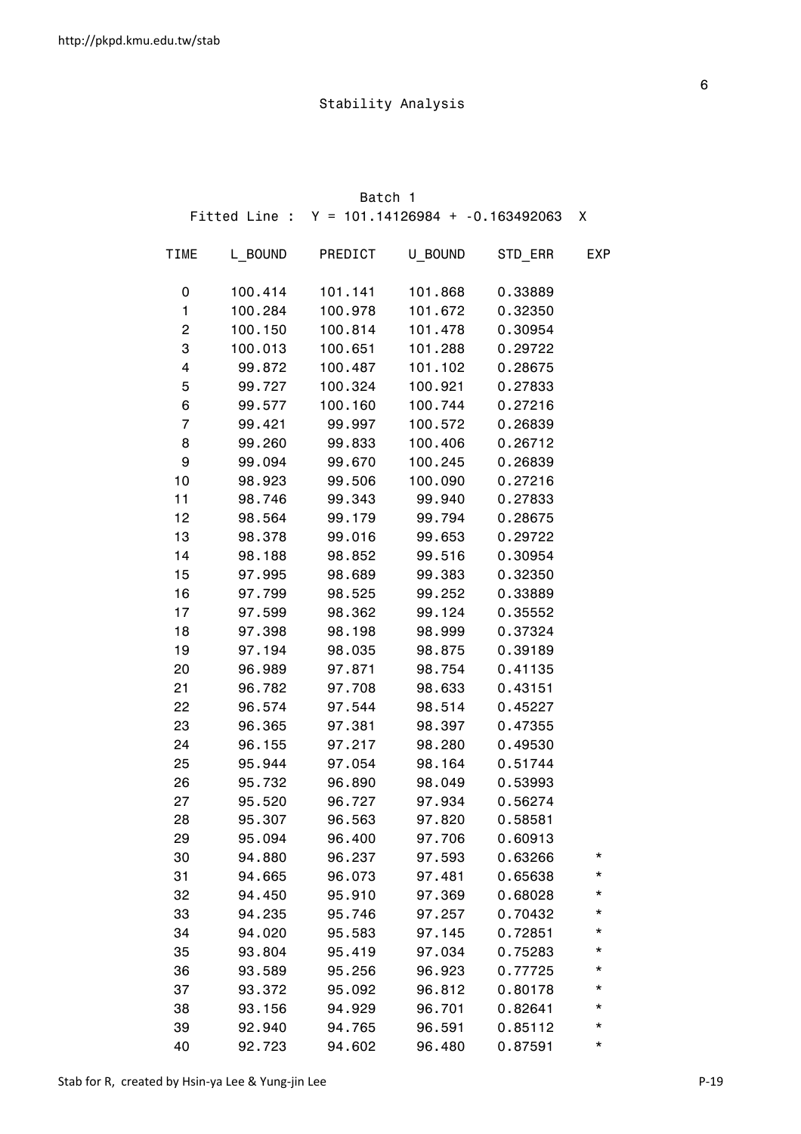|             |         | Batch 1                                         |         |         |            |
|-------------|---------|-------------------------------------------------|---------|---------|------------|
|             |         | Fitted Line : $Y = 101.14126984 + -0.163492063$ |         |         | X          |
| <b>TIME</b> | L BOUND | PREDICT                                         | U BOUND | STD_ERR | <b>EXP</b> |
| 0           | 100.414 | 101.141                                         | 101.868 | 0.33889 |            |
| 1           | 100.284 | 100.978                                         | 101.672 | 0.32350 |            |
| 2           | 100.150 | 100.814                                         | 101.478 | 0.30954 |            |
| 3           | 100.013 | 100.651                                         | 101.288 | 0.29722 |            |
| 4           | 99.872  | 100.487                                         | 101.102 | 0.28675 |            |
| 5           | 99.727  | 100.324                                         | 100.921 | 0.27833 |            |
| 6           | 99.577  | 100.160                                         | 100.744 | 0.27216 |            |
| 7           | 99.421  | 99.997                                          | 100.572 | 0.26839 |            |
| 8           | 99.260  | 99.833                                          | 100.406 | 0.26712 |            |
| 9           | 99.094  | 99.670                                          | 100.245 | 0.26839 |            |
| 10          | 98.923  | 99.506                                          | 100.090 | 0.27216 |            |
| 11          | 98.746  | 99.343                                          | 99.940  | 0.27833 |            |
| 12          | 98.564  | 99.179                                          | 99.794  | 0.28675 |            |
| 13          | 98.378  | 99.016                                          | 99.653  | 0.29722 |            |
| 14          | 98.188  | 98.852                                          | 99.516  | 0.30954 |            |
| 15          | 97.995  | 98.689                                          | 99.383  | 0.32350 |            |
| 16          | 97.799  | 98.525                                          | 99.252  | 0.33889 |            |
| 17          | 97.599  | 98.362                                          | 99.124  | 0.35552 |            |
| 18          | 97.398  | 98.198                                          | 98.999  | 0.37324 |            |
| 19          | 97.194  | 98.035                                          | 98.875  | 0.39189 |            |
| 20          | 96.989  | 97.871                                          | 98.754  | 0.41135 |            |
| 21          | 96.782  | 97.708                                          | 98.633  | 0.43151 |            |
| 22          | 96.574  | 97.544                                          | 98.514  | 0.45227 |            |
| 23          | 96.365  | 97.381                                          | 98.397  | 0.47355 |            |
| 24          | 96.155  | 97.217                                          | 98.280  | 0.49530 |            |
| 25          | 95.944  | 97.054                                          | 98.164  | 0.51744 |            |
| 26          | 95.732  | 96.890                                          | 98.049  | 0.53993 |            |
| 27          | 95.520  | 96.727                                          | 97.934  | 0.56274 |            |
| 28          | 95.307  | 96.563                                          | 97.820  | 0.58581 |            |
| 29          | 95.094  | 96.400                                          | 97.706  | 0.60913 |            |
| 30          | 94.880  | 96.237                                          | 97.593  | 0.63266 | *          |
| 31          | 94.665  | 96.073                                          | 97.481  | 0.65638 | *          |
| 32          | 94.450  | 95.910                                          | 97.369  | 0.68028 | *          |
| 33          | 94.235  | 95.746                                          | 97.257  | 0.70432 | *          |
| 34          | 94.020  | 95.583                                          | 97.145  | 0.72851 | *          |
| 35          | 93.804  | 95.419                                          | 97.034  | 0.75283 | *          |
| 36          | 93.589  | 95.256                                          | 96.923  | 0.77725 | *          |
| 37          | 93.372  | 95.092                                          | 96.812  | 0.80178 | *          |
| 38          | 93.156  | 94.929                                          | 96.701  | 0.82641 | *          |
| 39          | 92.940  | 94.765                                          | 96.591  | 0.85112 | *          |
| 40          | 92.723  | 94.602                                          | 96.480  | 0.87591 | *          |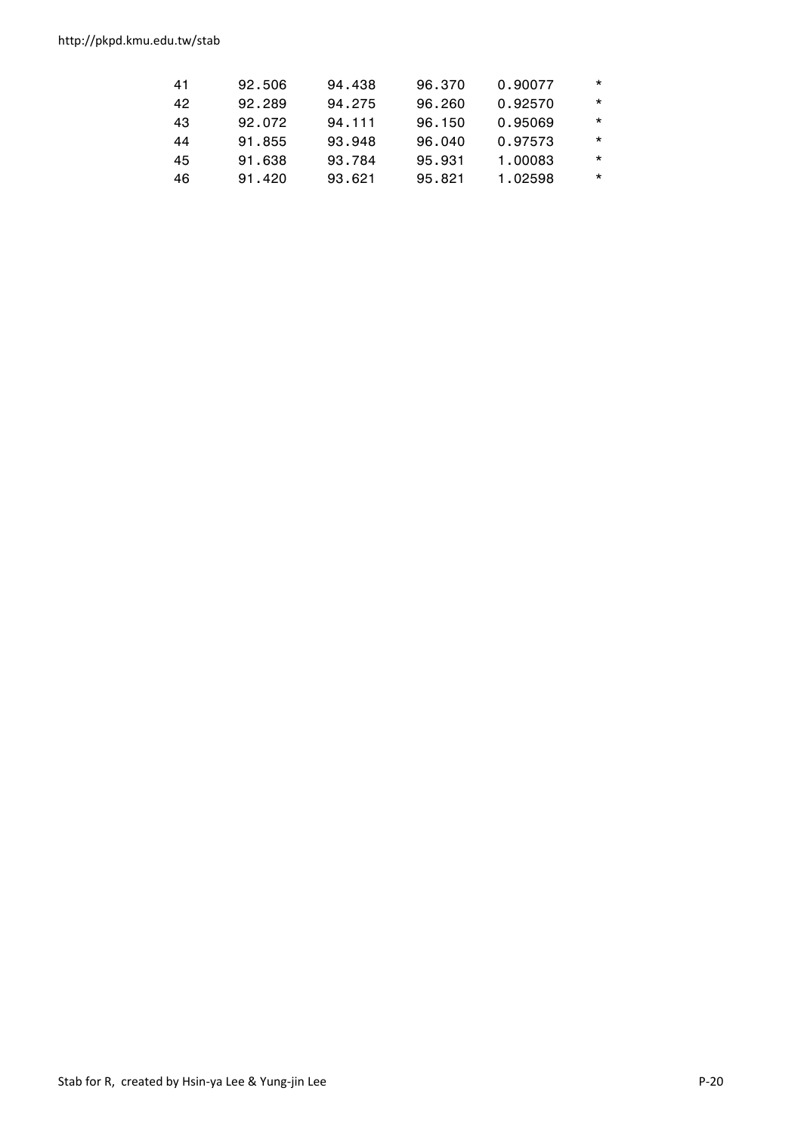http://pkpd.kmu.edu.tw/stab

| 41 | 92.506 | 94.438 | 96.370 | 0.90077 | $\star$ |
|----|--------|--------|--------|---------|---------|
| 42 | 92.289 | 94.275 | 96.260 | 0.92570 | $\star$ |
| 43 | 92.072 | 94.111 | 96.150 | 0.95069 | $\star$ |
| 44 | 91.855 | 93.948 | 96.040 | 0.97573 | $\star$ |
| 45 | 91.638 | 93.784 | 95.931 | 1.00083 | $\star$ |
| 46 | 91.420 | 93.621 | 95.821 | 1.02598 | $\star$ |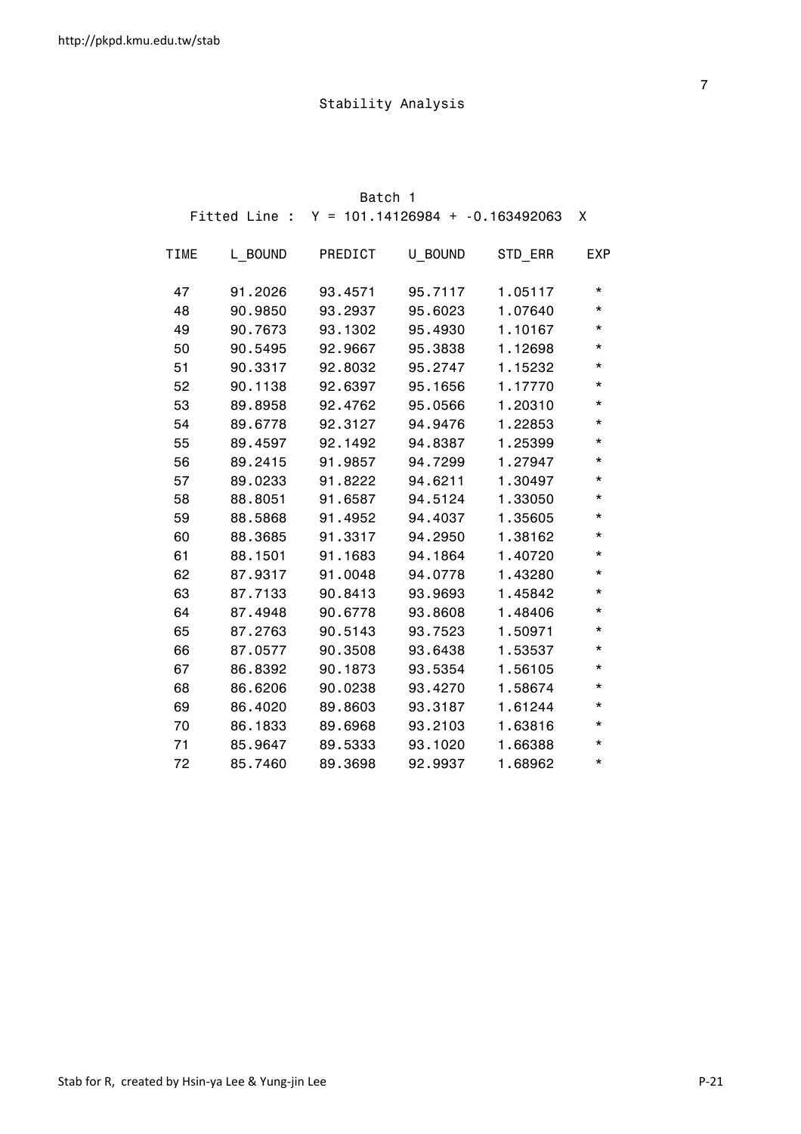|             |         | Batch 1 |                                                 |         |            |
|-------------|---------|---------|-------------------------------------------------|---------|------------|
|             |         |         | Fitted Line : $Y = 101.14126984 + -0.163492063$ |         | X          |
| <b>TIME</b> | L BOUND | PREDICT | U BOUND                                         | STD_ERR | <b>EXP</b> |
| 47          | 91.2026 | 93.4571 | 95.7117                                         | 1.05117 | $^\star$   |
| 48          | 90.9850 | 93.2937 | 95.6023                                         | 1.07640 | $^\star$   |
| 49          | 90.7673 | 93.1302 | 95.4930                                         | 1.10167 | *          |
| 50          | 90.5495 | 92.9667 | 95.3838                                         | 1.12698 | $^\star$   |
| 51          | 90.3317 | 92.8032 | 95.2747                                         | 1.15232 | $^\star$   |
| 52          | 90.1138 | 92.6397 | 95.1656                                         | 1.17770 | *          |
| 53          | 89.8958 | 92.4762 | 95.0566                                         | 1.20310 | $^\star$   |
| 54          | 89.6778 | 92.3127 | 94.9476                                         | 1.22853 | *          |
| 55          | 89.4597 | 92.1492 | 94.8387                                         | 1.25399 | $^\star$   |
| 56          | 89.2415 | 91.9857 | 94.7299                                         | 1.27947 | *          |
| 57          | 89.0233 | 91.8222 | 94.6211                                         | 1.30497 | *          |
| 58          | 88.8051 | 91.6587 | 94.5124                                         | 1.33050 | $^\star$   |
| 59          | 88.5868 | 91.4952 | 94.4037                                         | 1.35605 | $^\star$   |
| 60          | 88.3685 | 91.3317 | 94.2950                                         | 1.38162 | $^\star$   |
| 61          | 88.1501 | 91.1683 | 94.1864                                         | 1.40720 | $^\star$   |
| 62          | 87.9317 | 91.0048 | 94.0778                                         | 1.43280 | *          |
| 63          | 87.7133 | 90.8413 | 93.9693                                         | 1.45842 | *          |
| 64          | 87.4948 | 90.6778 | 93.8608                                         | 1.48406 | $^\star$   |
| 65          | 87.2763 | 90.5143 | 93.7523                                         | 1.50971 | *          |
| 66          | 87.0577 | 90.3508 | 93.6438                                         | 1.53537 | *          |
| 67          | 86.8392 | 90.1873 | 93.5354                                         | 1.56105 | $^\star$   |
| 68          | 86.6206 | 90.0238 | 93.4270                                         | 1.58674 | $^\star$   |
| 69          | 86.4020 | 89.8603 | 93.3187                                         | 1.61244 | $^\star$   |
| 70          | 86.1833 | 89.6968 | 93.2103                                         | 1.63816 | *          |
| 71          | 85.9647 | 89.5333 | 93.1020                                         | 1.66388 | *          |
| 72          | 85,7460 | 89.3698 | 92,9937                                         | 1.68962 | $^\star$   |

<u>7</u>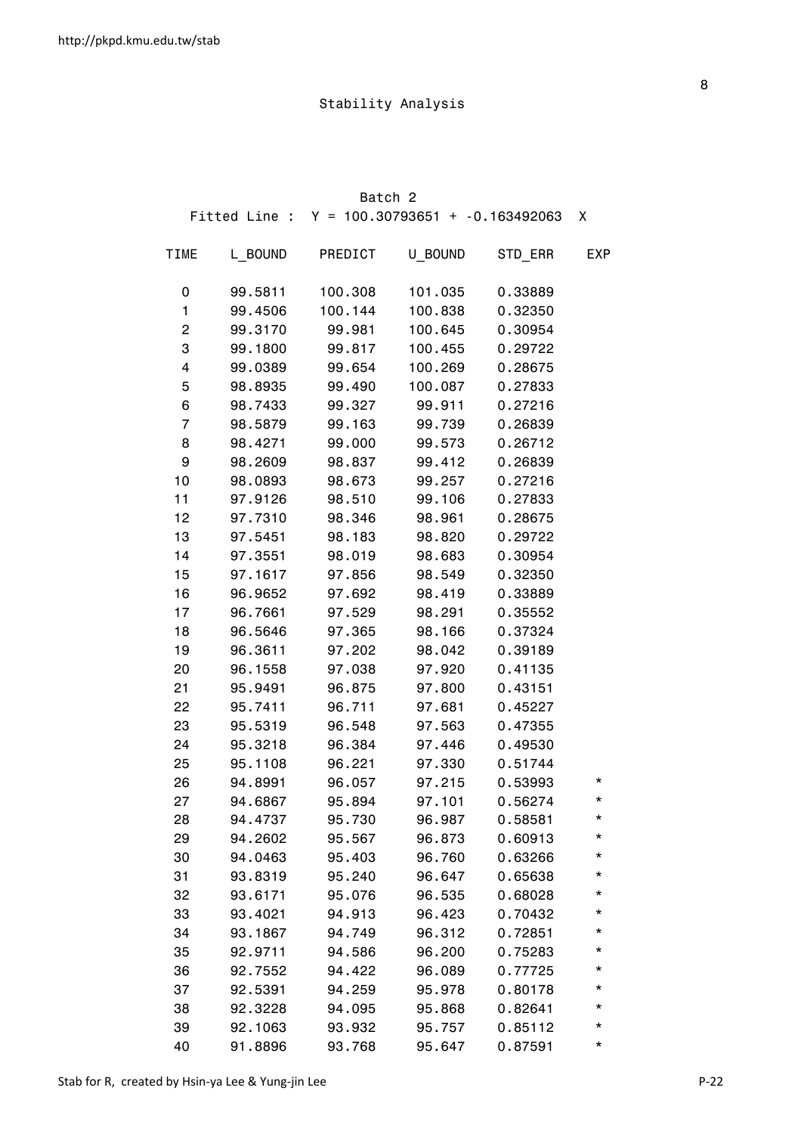|             |         | Batch 2                                         |         |         |            |
|-------------|---------|-------------------------------------------------|---------|---------|------------|
|             |         | Fitted Line : $Y = 100.30793651 + -0.163492063$ |         |         | X          |
| <b>TIME</b> | L BOUND | PREDICT                                         | U BOUND | STD_ERR | <b>EXP</b> |
| 0           | 99.5811 | 100.308                                         | 101.035 | 0.33889 |            |
| 1           | 99.4506 | 100.144                                         | 100.838 | 0.32350 |            |
| 2           | 99.3170 | 99.981                                          | 100.645 | 0.30954 |            |
| 3           | 99.1800 | 99.817                                          | 100.455 | 0.29722 |            |
| 4           | 99.0389 | 99.654                                          | 100.269 | 0.28675 |            |
| 5           | 98.8935 | 99.490                                          | 100.087 | 0.27833 |            |
| 6           | 98.7433 | 99.327                                          | 99.911  | 0.27216 |            |
| 7           | 98.5879 | 99.163                                          | 99.739  | 0.26839 |            |
| 8           | 98.4271 | 99.000                                          | 99.573  | 0.26712 |            |
| 9           | 98.2609 | 98.837                                          | 99.412  | 0.26839 |            |
| 10          | 98.0893 | 98.673                                          | 99.257  | 0.27216 |            |
| 11          | 97.9126 | 98.510                                          | 99.106  | 0.27833 |            |
| 12          | 97.7310 | 98.346                                          | 98.961  | 0.28675 |            |
| 13          | 97.5451 | 98.183                                          | 98.820  | 0.29722 |            |
| 14          | 97.3551 | 98.019                                          | 98.683  | 0.30954 |            |
| 15          | 97.1617 | 97.856                                          | 98.549  | 0.32350 |            |
| 16          | 96.9652 | 97.692                                          | 98.419  | 0.33889 |            |
| 17          | 96.7661 | 97.529                                          | 98.291  | 0.35552 |            |
| 18          | 96.5646 | 97.365                                          | 98.166  | 0.37324 |            |
| 19          | 96.3611 | 97.202                                          | 98.042  | 0.39189 |            |
| 20          | 96.1558 | 97.038                                          | 97.920  | 0.41135 |            |
| 21          | 95.9491 | 96.875                                          | 97.800  | 0.43151 |            |
| 22          | 95.7411 | 96.711                                          | 97.681  | 0.45227 |            |
| 23          | 95.5319 | 96.548                                          | 97.563  | 0.47355 |            |
| 24          | 95.3218 | 96.384                                          | 97.446  | 0.49530 |            |
| 25          | 95.1108 | 96.221                                          | 97.330  | 0.51744 |            |
| 26          | 94.8991 | 96.057                                          | 97.215  | 0.53993 | *          |
| 27          | 94.6867 | 95.894                                          | 97.101  | 0.56274 | *          |
| 28          | 94.4737 | 95.730                                          | 96.987  | 0.58581 | *          |
| 29          | 94.2602 | 95.567                                          | 96.873  | 0.60913 | *          |
| 30          | 94.0463 | 95.403                                          | 96.760  | 0.63266 | *          |
| 31          | 93.8319 | 95.240                                          | 96.647  | 0.65638 | *          |
| 32          | 93.6171 | 95.076                                          | 96.535  | 0.68028 | *          |
| 33          | 93.4021 | 94.913                                          | 96.423  | 0.70432 | *          |
| 34          | 93.1867 | 94.749                                          | 96.312  | 0.72851 | *          |
| 35          | 92.9711 | 94.586                                          | 96.200  | 0.75283 | *          |
| 36          | 92.7552 | 94.422                                          | 96.089  | 0.77725 | *          |
| 37          | 92.5391 | 94.259                                          | 95.978  | 0.80178 | *          |
| 38          | 92.3228 | 94.095                                          | 95.868  | 0.82641 | *          |
| 39          | 92.1063 | 93.932                                          | 95.757  | 0.85112 | *          |
| 40          | 91.8896 | 93.768                                          | 95.647  | 0.87591 | *          |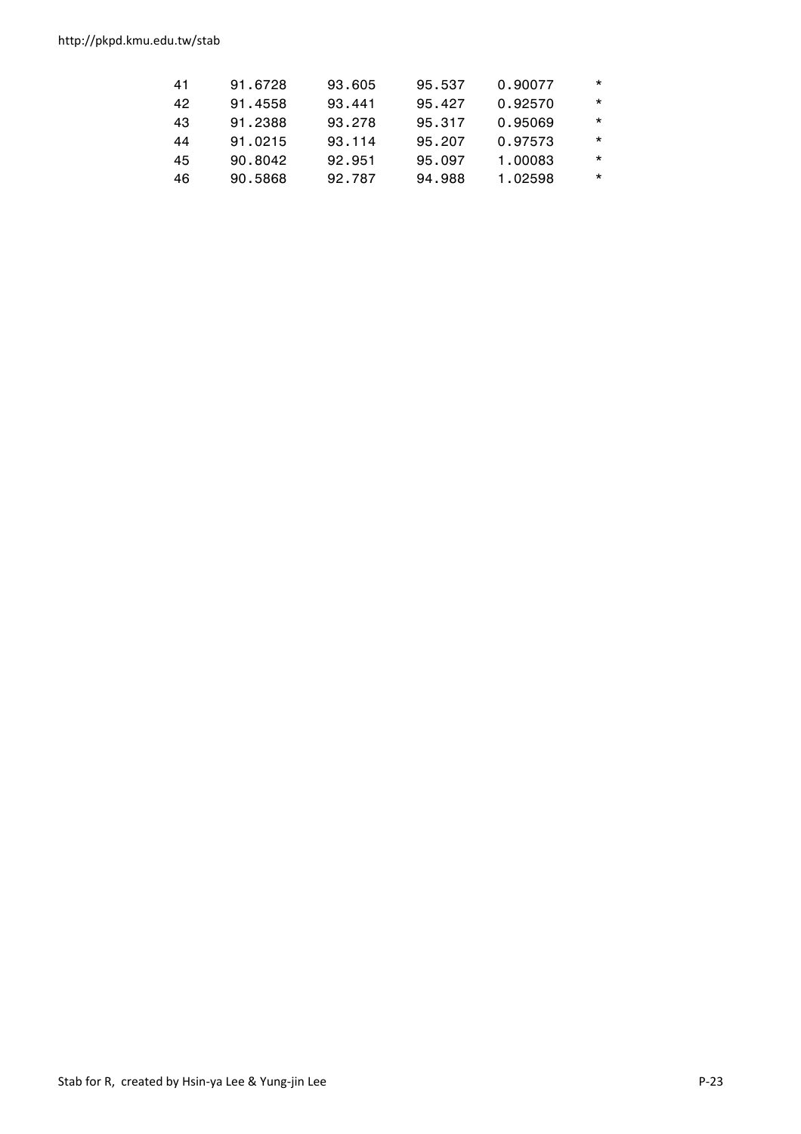http://pkpd.kmu.edu.tw/stab

| 41 |    | 91.6728 | 93.605 | 95.537 | 0.90077 | $\star$ |
|----|----|---------|--------|--------|---------|---------|
|    | 42 | 91.4558 | 93.441 | 95.427 | 0.92570 | $\star$ |
| 43 |    | 91.2388 | 93.278 | 95.317 | 0.95069 | $\star$ |
| 44 |    | 91.0215 | 93.114 | 95.207 | 0.97573 | $\star$ |
|    | 45 | 90.8042 | 92.951 | 95.097 | 1.00083 | $\star$ |
|    | 46 | 90.5868 | 92.787 | 94.988 | 1.02598 | $\star$ |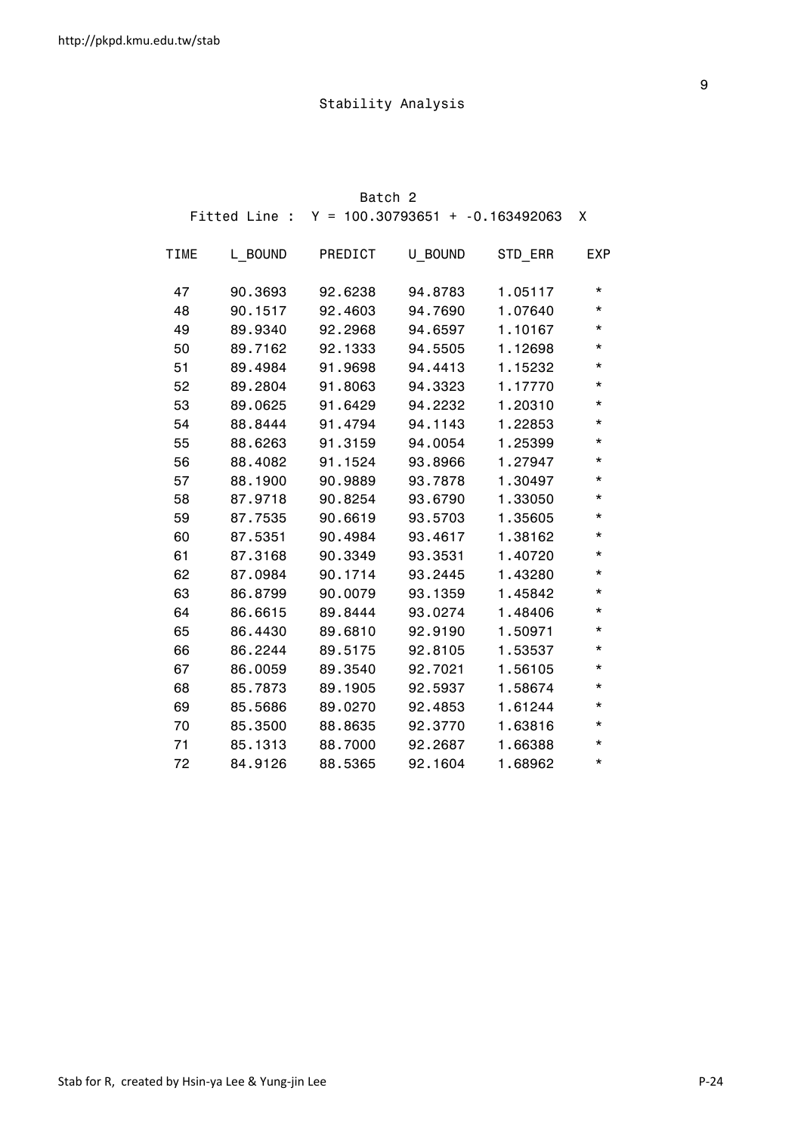|             |         | Batch 2 |                                                 |         |            |
|-------------|---------|---------|-------------------------------------------------|---------|------------|
|             |         |         | Fitted Line : $Y = 100.30793651 + -0.163492063$ |         | X          |
| <b>TIME</b> | L BOUND | PREDICT | U BOUND                                         | STD ERR | <b>EXP</b> |
| 47          | 90.3693 | 92.6238 | 94.8783                                         | 1.05117 | *          |
| 48          | 90.1517 | 92.4603 | 94.7690                                         | 1.07640 | $^\star$   |
| 49          | 89.9340 | 92.2968 | 94.6597                                         | 1.10167 | $^\star$   |
| 50          | 89.7162 | 92.1333 | 94.5505                                         | 1.12698 | $^\star$   |
| 51          | 89.4984 | 91.9698 | 94.4413                                         | 1.15232 | $^\star$   |
| 52          | 89.2804 | 91.8063 | 94.3323                                         | 1.17770 | *          |
| 53          | 89.0625 | 91.6429 | 94.2232                                         | 1.20310 | *          |
| 54          | 88.8444 | 91.4794 | 94.1143                                         | 1.22853 | *          |
| 55          | 88.6263 | 91.3159 | 94.0054                                         | 1.25399 | $^\star$   |
| 56          | 88.4082 | 91.1524 | 93.8966                                         | 1.27947 | $^\star$   |
| 57          | 88.1900 | 90.9889 | 93.7878                                         | 1.30497 | *          |
| 58          | 87.9718 | 90.8254 | 93.6790                                         | 1.33050 | $^\star$   |
| 59          | 87.7535 | 90.6619 | 93.5703                                         | 1.35605 | $^\star$   |
| 60          | 87.5351 | 90.4984 | 93.4617                                         | 1.38162 | *          |
| 61          | 87.3168 | 90.3349 | 93.3531                                         | 1.40720 | $^\star$   |
| 62          | 87.0984 | 90.1714 | 93.2445                                         | 1.43280 | $^\star$   |
| 63          | 86.8799 | 90.0079 | 93.1359                                         | 1.45842 | $^\star$   |
| 64          | 86.6615 | 89.8444 | 93.0274                                         | 1.48406 | *          |
| 65          | 86.4430 | 89.6810 | 92.9190                                         | 1.50971 | *          |
| 66          | 86.2244 | 89.5175 | 92.8105                                         | 1.53537 | $^\star$   |
| 67          | 86.0059 | 89.3540 | 92.7021                                         | 1.56105 | $^\star$   |
| 68          | 85.7873 | 89.1905 | 92.5937                                         | 1.58674 | *          |
| 69          | 85.5686 | 89.0270 | 92.4853                                         | 1.61244 | $^\star$   |
| 70          | 85.3500 | 88.8635 | 92.3770                                         | 1.63816 | $^\star$   |
| 71          | 85.1313 | 88.7000 | 92.2687                                         | 1.66388 | $^\star$   |
| 72          | 84.9126 | 88.5365 | 92.1604                                         | 1.68962 | $^\star$   |

en de la construction de la construction de la construction de la construction de la construction de la constr<br>1980 : le construction de la construction de la construction de la construction de la construction de la const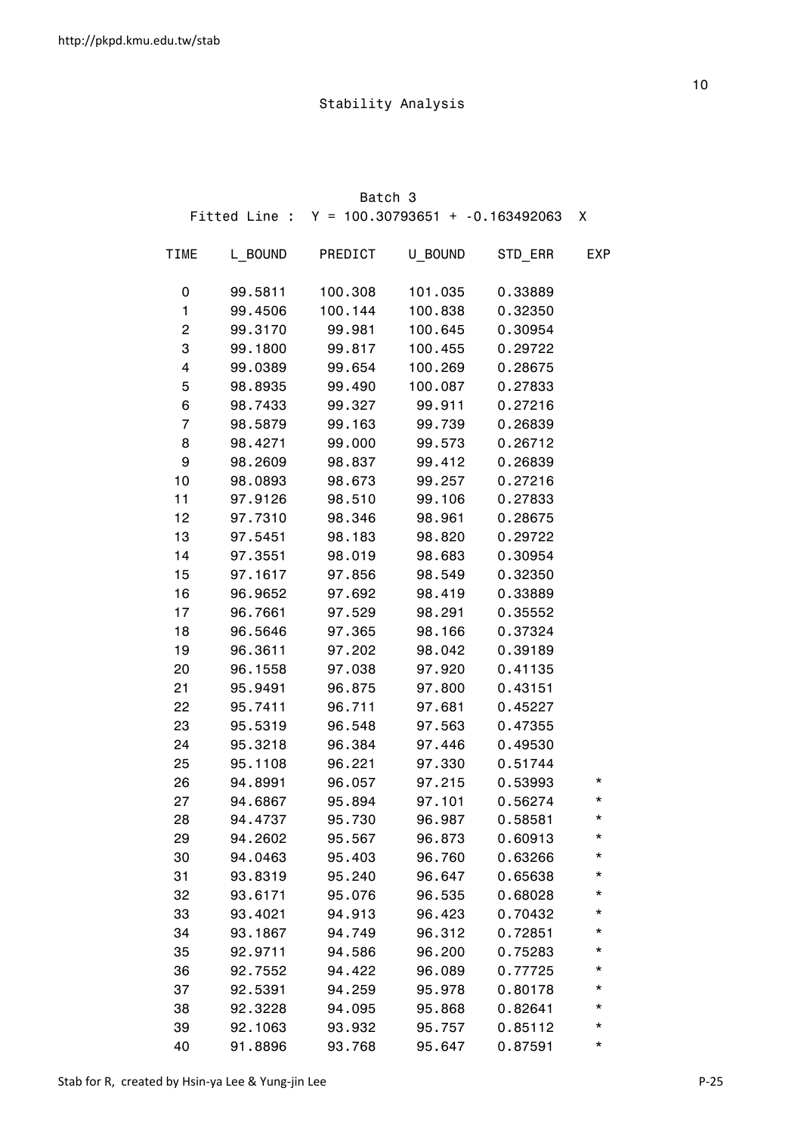|             |         | Batch 3                                         |         |         |            |
|-------------|---------|-------------------------------------------------|---------|---------|------------|
|             |         | Fitted Line : $Y = 100.30793651 + -0.163492063$ |         |         | X          |
| <b>TIME</b> | L BOUND | PREDICT                                         | U BOUND | STD_ERR | <b>EXP</b> |
| 0           | 99.5811 | 100.308                                         | 101.035 | 0.33889 |            |
| 1           | 99.4506 | 100.144                                         | 100.838 | 0.32350 |            |
| 2           | 99.3170 | 99.981                                          | 100.645 | 0.30954 |            |
| 3           | 99.1800 | 99.817                                          | 100.455 | 0.29722 |            |
| 4           | 99.0389 | 99.654                                          | 100.269 | 0.28675 |            |
| 5           | 98.8935 | 99.490                                          | 100.087 | 0.27833 |            |
| 6           | 98.7433 | 99.327                                          | 99.911  | 0.27216 |            |
| 7           | 98.5879 | 99.163                                          | 99.739  | 0.26839 |            |
| 8           | 98.4271 | 99.000                                          | 99.573  | 0.26712 |            |
| 9           | 98.2609 | 98.837                                          | 99.412  | 0.26839 |            |
| 10          | 98.0893 | 98.673                                          | 99.257  | 0.27216 |            |
| 11          | 97.9126 | 98.510                                          | 99.106  | 0.27833 |            |
| 12          | 97.7310 | 98.346                                          | 98.961  | 0.28675 |            |
| 13          | 97.5451 | 98.183                                          | 98.820  | 0.29722 |            |
| 14          | 97.3551 | 98.019                                          | 98.683  | 0.30954 |            |
| 15          | 97.1617 | 97.856                                          | 98.549  | 0.32350 |            |
| 16          | 96.9652 | 97.692                                          | 98.419  | 0.33889 |            |
| 17          | 96.7661 | 97.529                                          | 98.291  | 0.35552 |            |
| 18          | 96.5646 | 97.365                                          | 98.166  | 0.37324 |            |
| 19          | 96.3611 | 97.202                                          | 98.042  | 0.39189 |            |
| 20          | 96.1558 | 97.038                                          | 97.920  | 0.41135 |            |
| 21          | 95.9491 | 96.875                                          | 97.800  | 0.43151 |            |
| 22          | 95.7411 | 96.711                                          | 97.681  | 0.45227 |            |
| 23          | 95.5319 | 96.548                                          | 97.563  | 0.47355 |            |
| 24          | 95.3218 | 96.384                                          | 97.446  | 0.49530 |            |
| 25          | 95.1108 | 96.221                                          | 97.330  | 0.51744 |            |
| 26          | 94.8991 | 96.057                                          | 97.215  | 0.53993 | *          |
| 27          | 94.6867 | 95.894                                          | 97.101  | 0.56274 | *          |
| 28          | 94.4737 | 95.730                                          | 96.987  | 0.58581 | *          |
| 29          | 94.2602 | 95.567                                          | 96.873  | 0.60913 | *          |
| 30          | 94.0463 | 95.403                                          | 96.760  | 0.63266 | *          |
| 31          | 93.8319 | 95.240                                          | 96.647  | 0.65638 | *          |
| 32          | 93.6171 | 95.076                                          | 96.535  | 0.68028 | *          |
| 33          | 93.4021 | 94.913                                          | 96.423  | 0.70432 | *          |
| 34          | 93.1867 | 94.749                                          | 96.312  | 0.72851 | *          |
| 35          | 92.9711 | 94.586                                          | 96.200  | 0.75283 | *          |
| 36          | 92.7552 | 94.422                                          | 96.089  | 0.77725 | *          |
| 37          | 92.5391 | 94.259                                          | 95.978  | 0.80178 | *          |
| 38          | 92.3228 | 94.095                                          | 95.868  | 0.82641 | *          |
| 39          | 92.1063 | 93.932                                          | 95.757  | 0.85112 | *          |
| 40          | 91.8896 | 93.768                                          | 95.647  | 0.87591 | *          |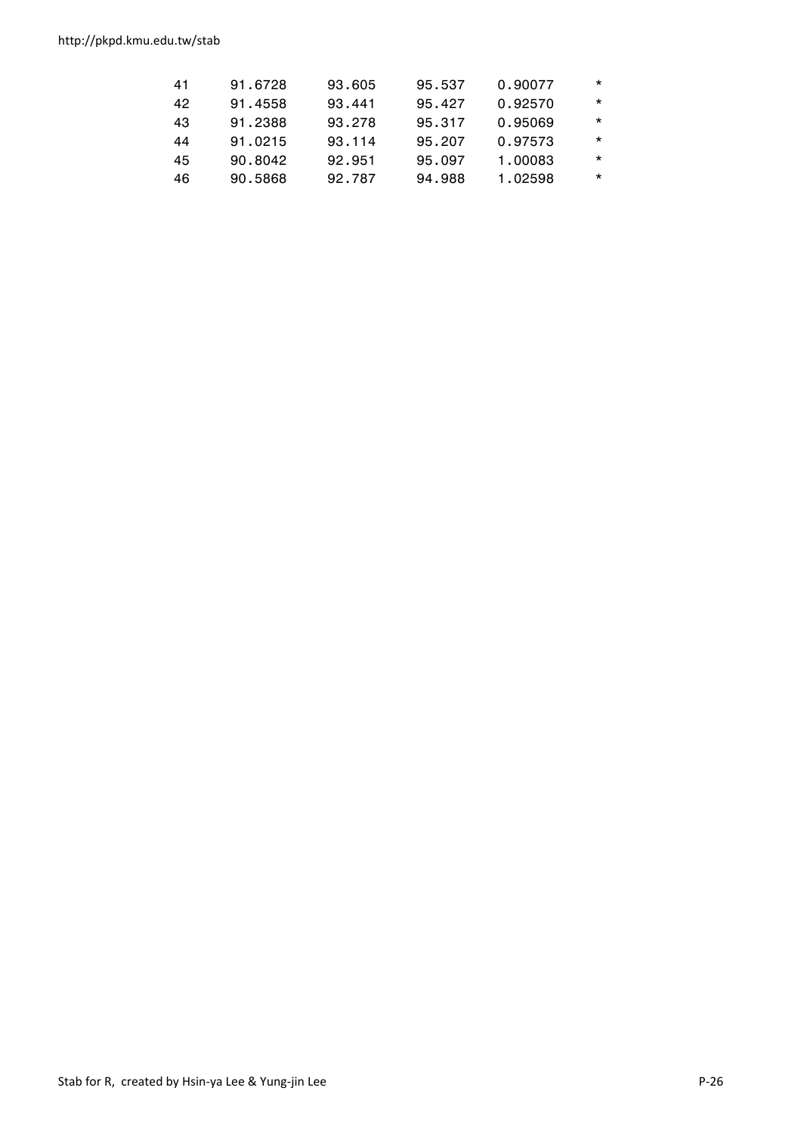http://pkpd.kmu.edu.tw/stab

| 41 | 91.6728 | 93.605 | 95.537 | 0.90077 | $\star$ |
|----|---------|--------|--------|---------|---------|
| 42 | 91.4558 | 93.441 | 95.427 | 0.92570 | $\star$ |
| 43 | 91.2388 | 93.278 | 95.317 | 0.95069 | $\star$ |
| 44 | 91.0215 | 93.114 | 95.207 | 0.97573 | $\star$ |
| 45 | 90.8042 | 92.951 | 95.097 | 1.00083 | $\star$ |
| 46 | 90.5868 | 92.787 | 94.988 | 1.02598 | $\star$ |
|    |         |        |        |         |         |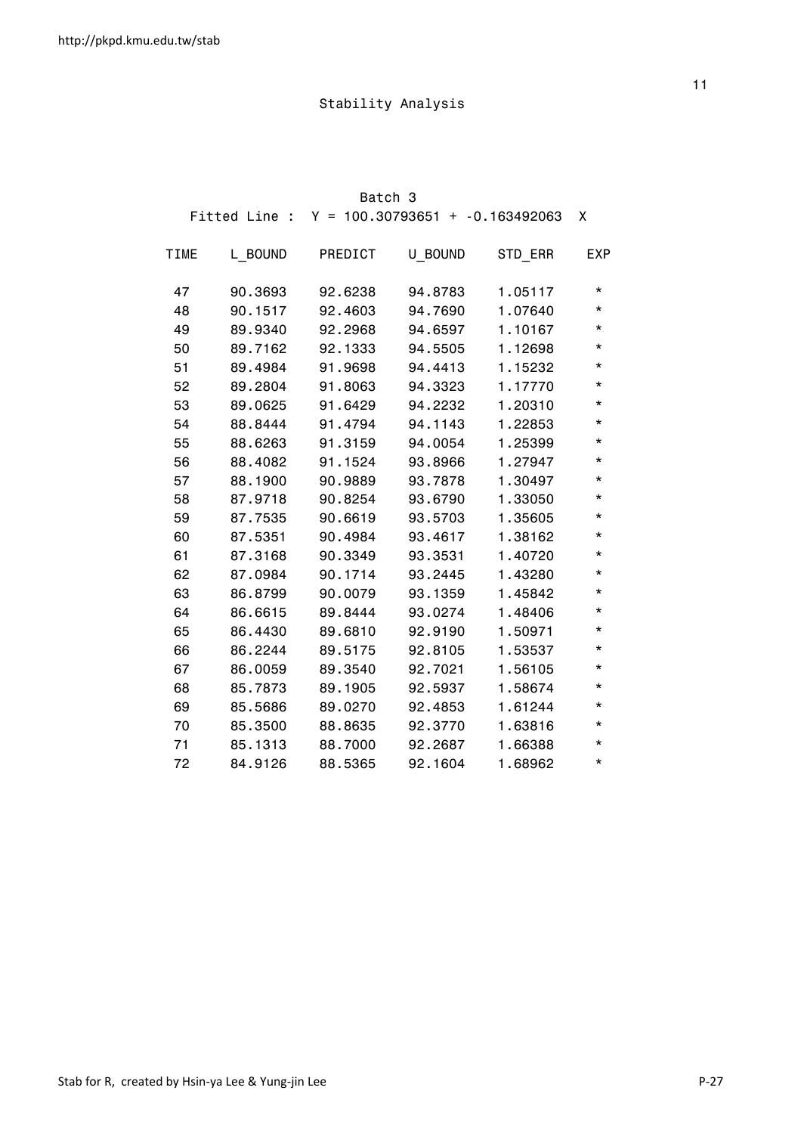|             |         | Batch 3 |                                                 |         |            |
|-------------|---------|---------|-------------------------------------------------|---------|------------|
|             |         |         | Fitted Line : $Y = 100.30793651 + -0.163492063$ |         | X          |
| <b>TIME</b> | L BOUND | PREDICT | U BOUND                                         | STD ERR | <b>EXP</b> |
| 47          | 90.3693 | 92.6238 | 94.8783                                         | 1.05117 | *          |
| 48          | 90.1517 | 92.4603 | 94.7690                                         | 1.07640 | $^\star$   |
| 49          | 89.9340 | 92.2968 | 94.6597                                         | 1.10167 | $^\star$   |
| 50          | 89.7162 | 92.1333 | 94.5505                                         | 1.12698 | $^\star$   |
| 51          | 89.4984 | 91.9698 | 94.4413                                         | 1.15232 | $^\star$   |
| 52          | 89.2804 | 91.8063 | 94.3323                                         | 1.17770 | *          |
| 53          | 89.0625 | 91.6429 | 94.2232                                         | 1.20310 | *          |
| 54          | 88.8444 | 91.4794 | 94.1143                                         | 1.22853 | *          |
| 55          | 88.6263 | 91.3159 | 94.0054                                         | 1.25399 | $^\star$   |
| 56          | 88.4082 | 91.1524 | 93.8966                                         | 1.27947 | $^\star$   |
| 57          | 88.1900 | 90.9889 | 93.7878                                         | 1.30497 | *          |
| 58          | 87.9718 | 90.8254 | 93.6790                                         | 1.33050 | $^\star$   |
| 59          | 87.7535 | 90.6619 | 93.5703                                         | 1.35605 | $^\star$   |
| 60          | 87.5351 | 90.4984 | 93.4617                                         | 1.38162 | *          |
| 61          | 87.3168 | 90.3349 | 93.3531                                         | 1.40720 | $^\star$   |
| 62          | 87.0984 | 90.1714 | 93.2445                                         | 1.43280 | $^\star$   |
| 63          | 86.8799 | 90.0079 | 93.1359                                         | 1.45842 | $^\star$   |
| 64          | 86.6615 | 89.8444 | 93.0274                                         | 1.48406 | *          |
| 65          | 86.4430 | 89.6810 | 92.9190                                         | 1.50971 | *          |
| 66          | 86.2244 | 89.5175 | 92.8105                                         | 1.53537 | $^\star$   |
| 67          | 86.0059 | 89.3540 | 92.7021                                         | 1.56105 | $^\star$   |
| 68          | 85.7873 | 89.1905 | 92.5937                                         | 1.58674 | *          |
| 69          | 85.5686 | 89.0270 | 92.4853                                         | 1.61244 | $^\star$   |
| 70          | 85.3500 | 88.8635 | 92.3770                                         | 1.63816 | $^\star$   |
| 71          | 85.1313 | 88.7000 | 92.2687                                         | 1.66388 | $^\star$   |
| 72          | 84.9126 | 88.5365 | 92.1604                                         | 1.68962 | $^\star$   |

the contract of the contract of the contract of the contract of the contract of the contract of the contract o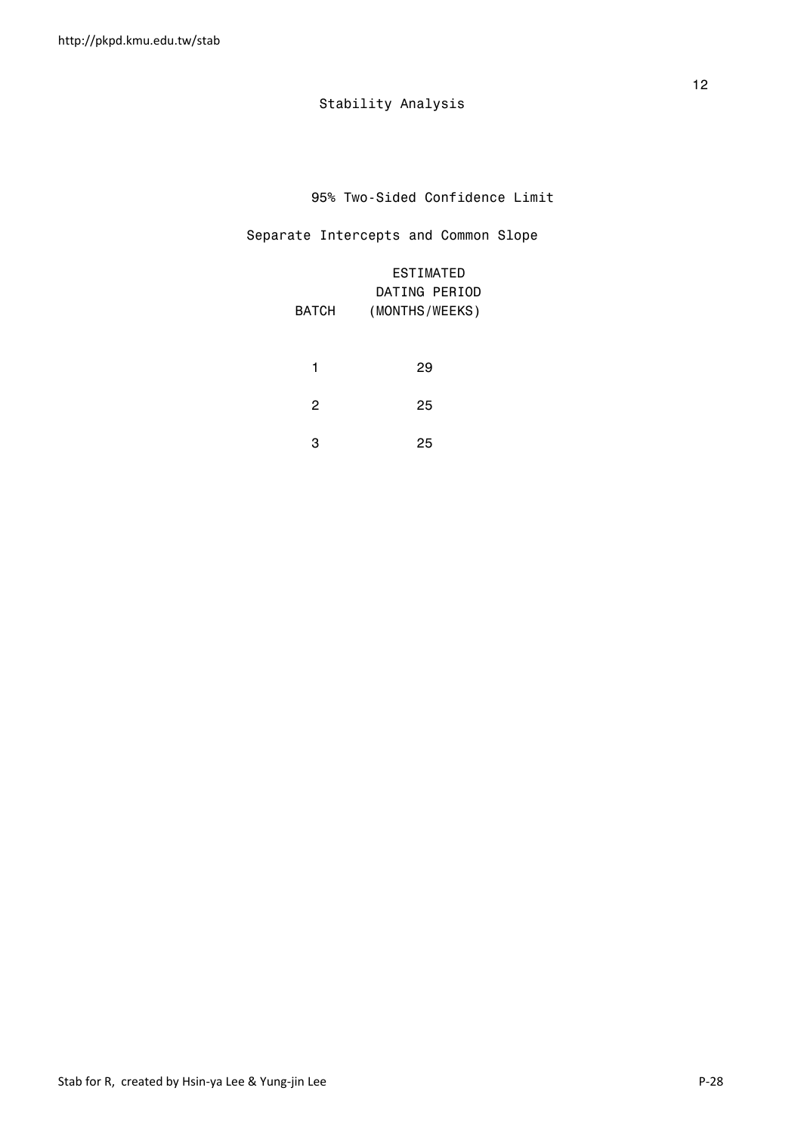95% Two-Sided Confidence Limit

### Separate Intercepts and Common Slope

| <b>BATCH</b> | <b>ESTIMATED</b><br>DATING PERIOD<br>(MONTHS/WEEKS) |
|--------------|-----------------------------------------------------|
| 1            | 29                                                  |
| 2            | 25                                                  |
| 3            | 25                                                  |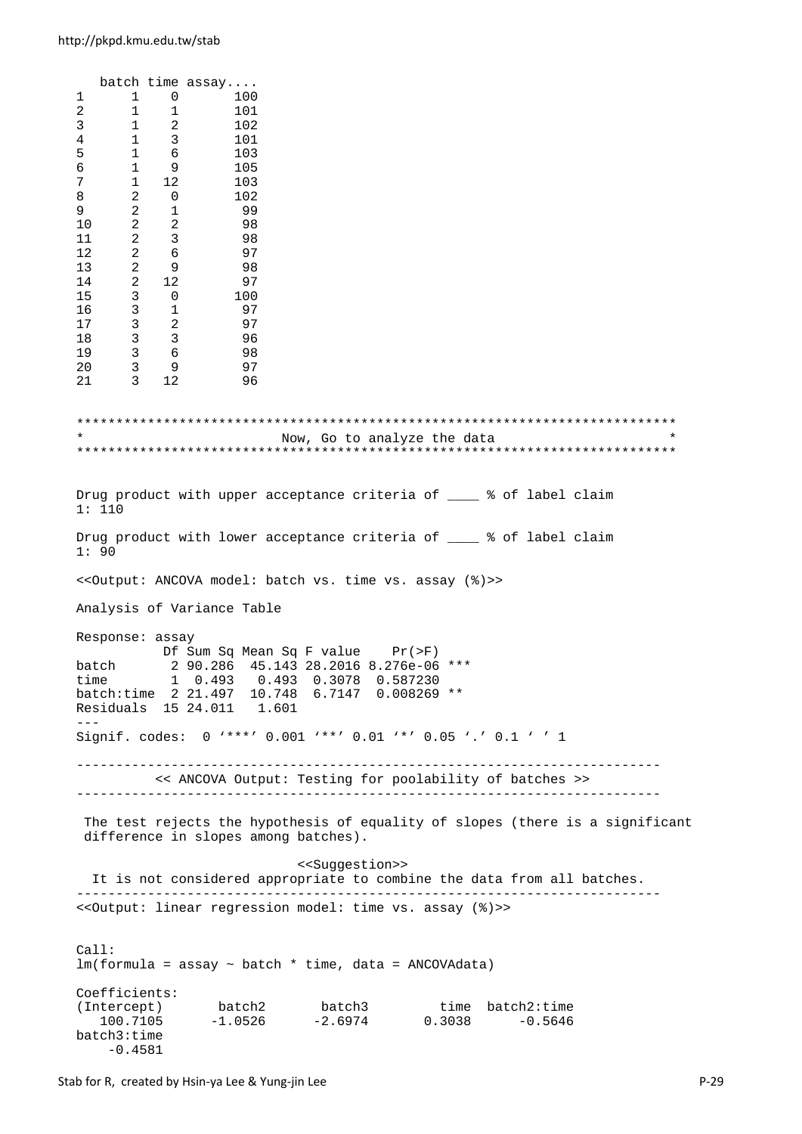batch time assay.... 1 1 0 100 2 1 1 101  $\begin{array}{ccccccccc}\n3 & & & 1 & & 2 & & & 102 \\
4 & & & 1 & & 3 & & & 101\n\end{array}$ 1 3  $\begin{array}{ccccccccc}\n5 & & 1 & & 6 \\
6 & & 1 & & 9\n\end{array}$ 5 1 6 103<br>6 1 9 105<br>7 1 12 103  $\begin{array}{ccc} 7 & \hspace{1.5mm} 1 & \hspace{1.5mm} 12 \\ 8 & \hspace{1.5mm} 2 & \hspace{1.5mm} 0 \end{array}$ 102 9 2 1 99  $\begin{array}{ccccccc}\n10 & 2 & 2 & 98 \\
11 & 2 & 3 & 98\n\end{array}$ 11 2 3 98<br>12 2 6 97 12 2 6 97 13 2 9 98  $\begin{array}{cccc} 14 & 2 & 12 \\ 15 & 3 & 0 \end{array}$  $\begin{array}{ccc} 3 & 0 \\ 3 & 1 \end{array}$ 16 3 1 97 17 3 2 97 18 3 3 96 19 3 6 98<br>20 3 9 97  $\begin{array}{ccc} 3 & 9 & 97 \\ 3 & 12 & 96 \end{array}$ 21 3 12 96 \*\*\*\*\*\*\*\*\*\*\*\*\*\*\*\*\*\*\*\*\*\*\*\*\*\*\*\*\*\*\*\*\*\*\*\*\*\*\*\*\*\*\*\*\*\*\*\*\*\*\*\*\*\*\*\*\*\*\*\*\*\*\*\*\*\*\*\*\*\*\*\*\*\*\*\* Now, Go to analyze the data \*\*\*\*\*\*\*\*\*\*\*\*\*\*\*\*\*\*\*\*\*\*\*\*\*\*\*\*\*\*\*\*\*\*\*\*\*\*\*\*\*\*\*\*\*\*\*\*\*\*\*\*\*\*\*\*\*\*\*\*\*\*\*\*\*\*\*\*\*\*\*\*\*\*\*\* Drug product with upper acceptance criteria of  $\frac{1}{2}$  of label claim 1: 110 Drug product with lower acceptance criteria of \_\_\_\_ % of label claim 1: 90 <<Output: ANCOVA model: batch vs. time vs. assay (%)>> Analysis of Variance Table Response: assay Df Sum Sq Mean Sq F value Pr(>F) batch 2 90.286 45.143 28.2016 8.276e-06 \*\*\* time 1 0.493 0.493 0.3078 0.587230 batch:time 2 21.497 10.748 6.7147 0.008269 \*\* Residuals 15 24.011 1.601 --- Signif. codes: 0 '\*\*\*' 0.001 '\*\*' 0.01 '\*' 0.05 '.' 0.1 ' ' 1 -------------------------------------------------------------------------- << ANCOVA Output: Testing for poolability of batches >> -------------------------------------------------------------------------- The test rejects the hypothesis of equality of slopes (there is a significant difference in slopes among batches). <<Suggestion>> It is not considered appropriate to combine the data from all batches. -------------------------------------------------------------------------- <<Output: linear regression model: time vs. assay (%)>>  $C<sub>a</sub>11$ :  $lm(formula = assay ~ batch ~ time, data = ANCOVAdata)$ Coefficients: (Intercept) batch2 batch3 time batch2:time 100.7105 -1.0526 -2.6974 0.3038 -0.5646 batch3:time

-0.4581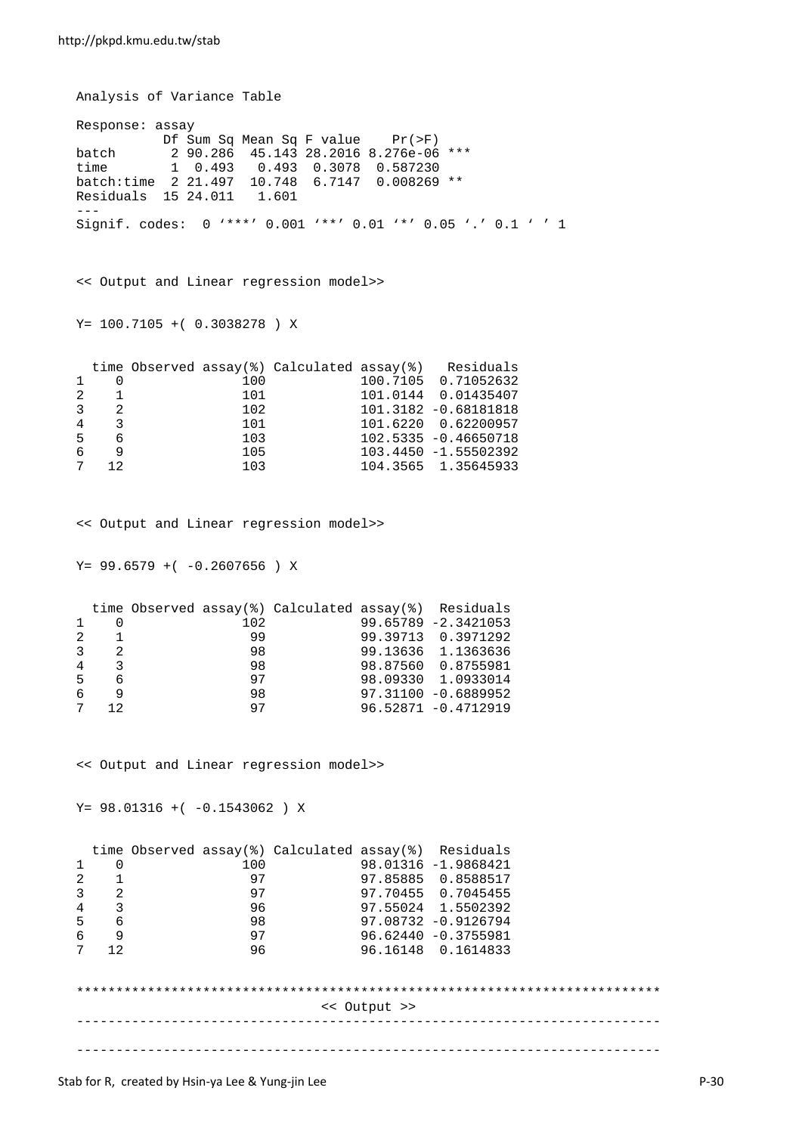Analysis of Variance Table Response: assay Df Sum Sq Mean Sq F value Pr(>F) batch 2 90.286 45.143 28.2016 8.276e-06 \*\*\*<br>time 1 0.493 0.493 0.3078 0.587230 time 1 0.493 0.493 0.3078 0.587230 batch:time 2 21.497 10.748 6.7147 0.008269 \*\* Residuals  $15$  24.011 --- Signif. codes: 0 '\*\*\*' 0.001 '\*\*' 0.01 '\*' 0.05 '.' 0.1 ' ' 1 << Output and Linear regression model>> Y= 100.7105 +( 0.3038278 ) X time Observed assay(%) Calculated assay(%) Residuals<br>1 0 100 100.7105 0.71052632  $\begin{array}{ccccccc}\n 1 & 0 & & & & 100 & & & & 100.7105 & 0.71052632 \\
 2 & 1 & & & & & 101 & & & & 101.0144 & 0.01435407\n \end{array}$  $\begin{array}{ccccccc} 2 & 1 & & & 101 & & & 101.0144 & 0.01435407 \ 3 & 2 & & & 102 & & & 101.3182 & -0.68181818 \end{array}$  $\begin{array}{cccc} 3 & 2 & 102 & 101.3182 & -0.68181818 \\ 4 & 3 & 101 & 101.6220 & 0.62200957 \end{array}$  $\begin{array}{cccc} 4 & 3 & 101 & 101.6220 & 0.62200957 \\ 5 & 6 & 103 & 102.5335 & -0.46650718 \end{array}$ 5 6 103 102.5335 -0.46650718 6 9 105 103.4450 -1.55502392 7 12 103 104.3565 1.35645933 << Output and Linear regression model>>  $Y= 99.6579 + (-0.2607656) X$ 

|                                                                                                                |                                                     | 102      |  | $99.65789 - 2.3421053$                               |
|----------------------------------------------------------------------------------------------------------------|-----------------------------------------------------|----------|--|------------------------------------------------------|
|                                                                                                                |                                                     | 99       |  | 99.39713 0.3971292                                   |
|                                                                                                                |                                                     | 98       |  | 99.13636 1.1363636                                   |
|                                                                                                                |                                                     | 98       |  | 98.87560 0.8755981                                   |
|                                                                                                                |                                                     | 97       |  | 98.09330 1.0933014                                   |
| a daga daga daga sebesar sebesar sebesar sebesar sebagai kecamatan sebagai kecamatan sebagai kecamatan sebagai |                                                     | 98       |  | $97.31100 - 0.6889952$                               |
|                                                                                                                |                                                     | 97       |  | 96.52871 -0.4712919                                  |
|                                                                                                                | $2 \quad 1$<br>$4 \overline{3}$<br>5 6<br>6<br>7 12 | $3 \t 2$ |  | time Observed assay(%) Calculated assay(%) Residuals |

<< Output and Linear regression model>>

 $Y= 98.01316 + (-0.1543062) X$ 

|                |                |     | time Observed assay(%) Calculated assay(%) Residuals |              |                        |  |
|----------------|----------------|-----|------------------------------------------------------|--------------|------------------------|--|
| 1              | 0              | 100 |                                                      |              | 98.01316 -1.9868421    |  |
| 2              |                | 97  |                                                      |              | 97.85885 0.8588517     |  |
| $\overline{3}$ | $\overline{2}$ | 97  |                                                      |              | 97.70455 0.7045455     |  |
| 4              | 3              | 96  |                                                      |              | 97.55024 1.5502392     |  |
| 5              | 6              | 98  |                                                      |              | $97.08732 - 0.9126794$ |  |
| 6              | 9              | 97  |                                                      |              | $96.62440 - 0.3755981$ |  |
| 7              | 12             | 96  |                                                      |              | 96.16148 0.1614833     |  |
|                |                |     |                                                      |              |                        |  |
|                |                |     |                                                      |              |                        |  |
|                |                |     |                                                      | << Output >> |                        |  |
|                |                |     |                                                      |              |                        |  |
|                |                |     |                                                      |              |                        |  |
|                |                |     |                                                      |              |                        |  |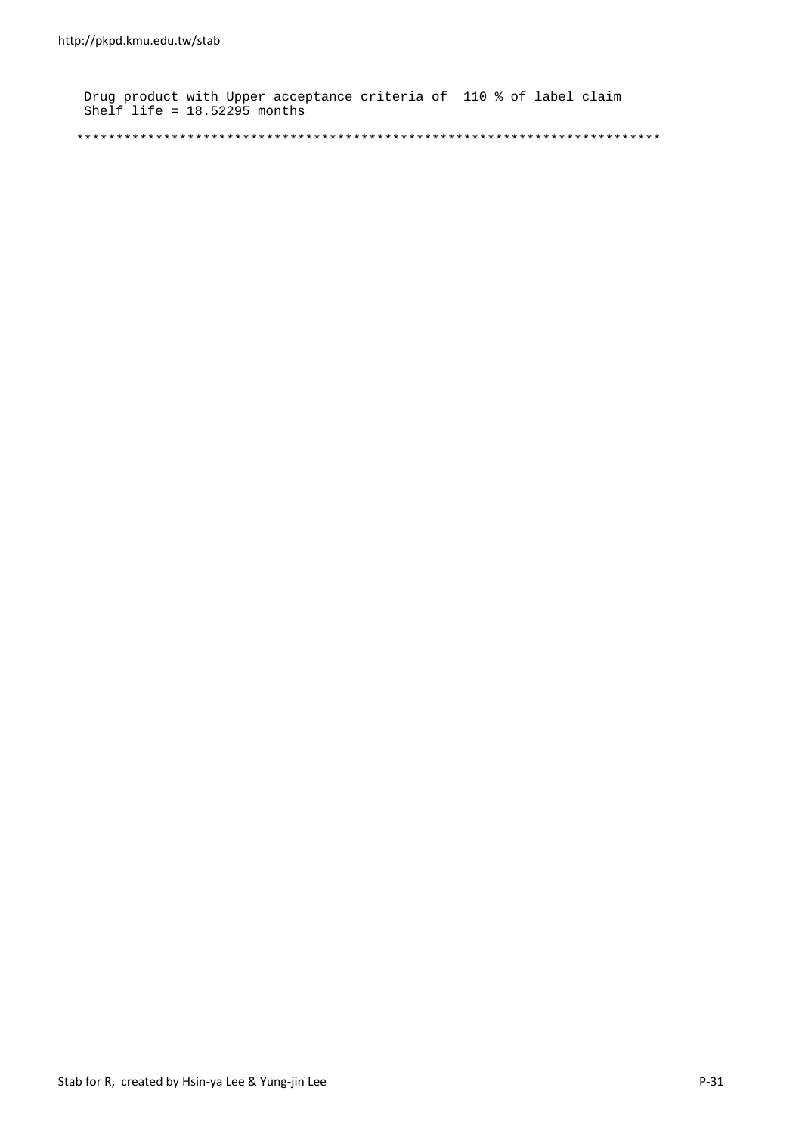Drug product with Upper acceptance criteria of 110 % of label claim Shelf life = 18.52295 months

\*\*\*\*\*\*\*\*\*\*\*\*\*\*\*\*\*\*\*\*\*\*\*\*\*\*\*\*\*\*\*\*\*\*\*\*\*\*\*\*\*\*\*\*\*\*\*\*\*\*\*\*\*\*\*\*\*\*\*\*\*\*\*\*\*\*\*\*\*\*\*\*\*\*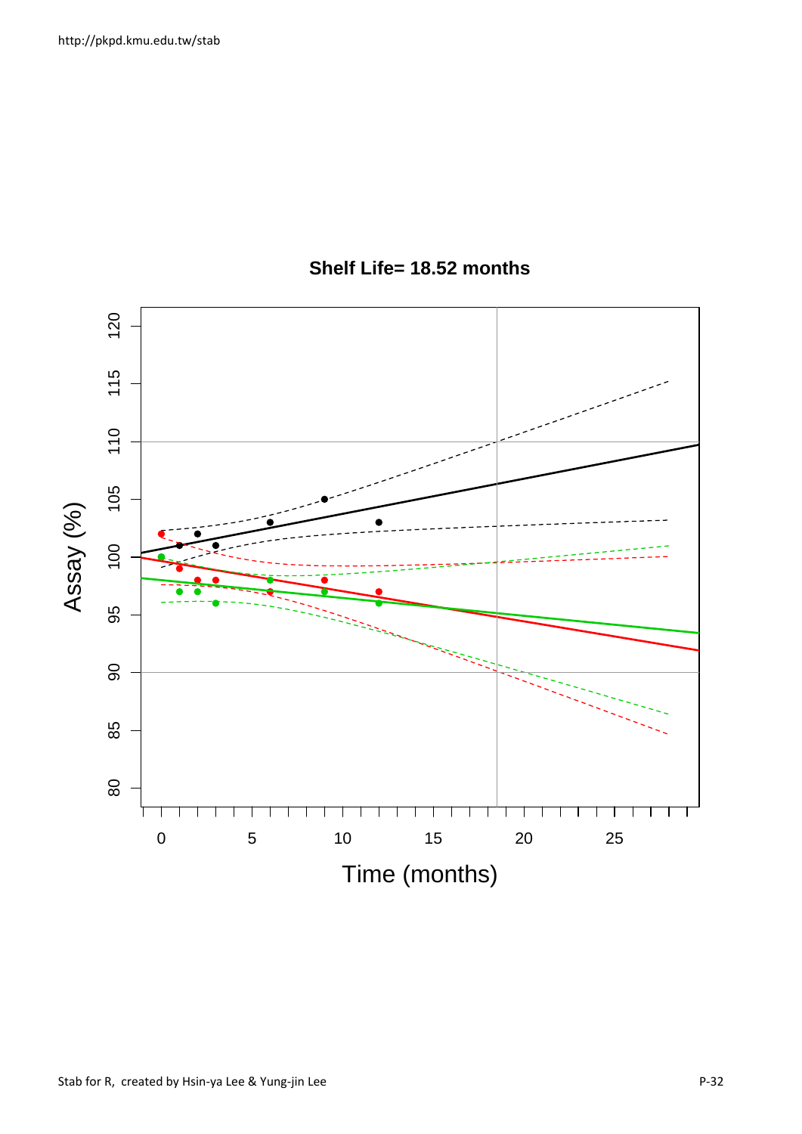

# **Shelf Life= 18.52 months**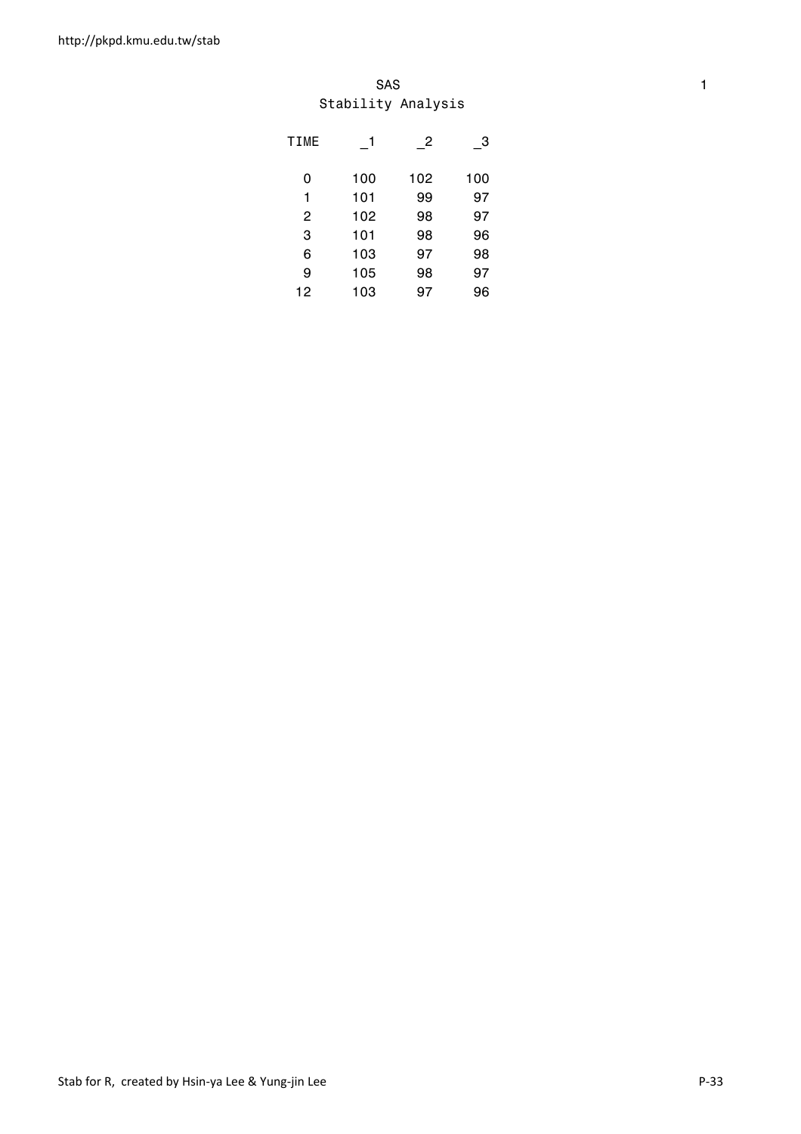#### SAS and the state of the state of the state of the state of the state of the state of the state of the state of the state of the state of the state of the state of the state of the state of the state of the state of the st Stability Analysis

| <b>TIME</b> |     | $\overline{2}$ | $\mathbf{3}$ |
|-------------|-----|----------------|--------------|
| 0           | 100 | 102            | 100          |
| 1           | 101 | 99             | 97           |
| 2           | 102 | 98             | 97           |
| 3           | 101 | 98             | 96           |
| 6           | 103 | 97             | 98           |
| 9           | 105 | 98             | 97           |
| 12          | 103 | 97             | 96           |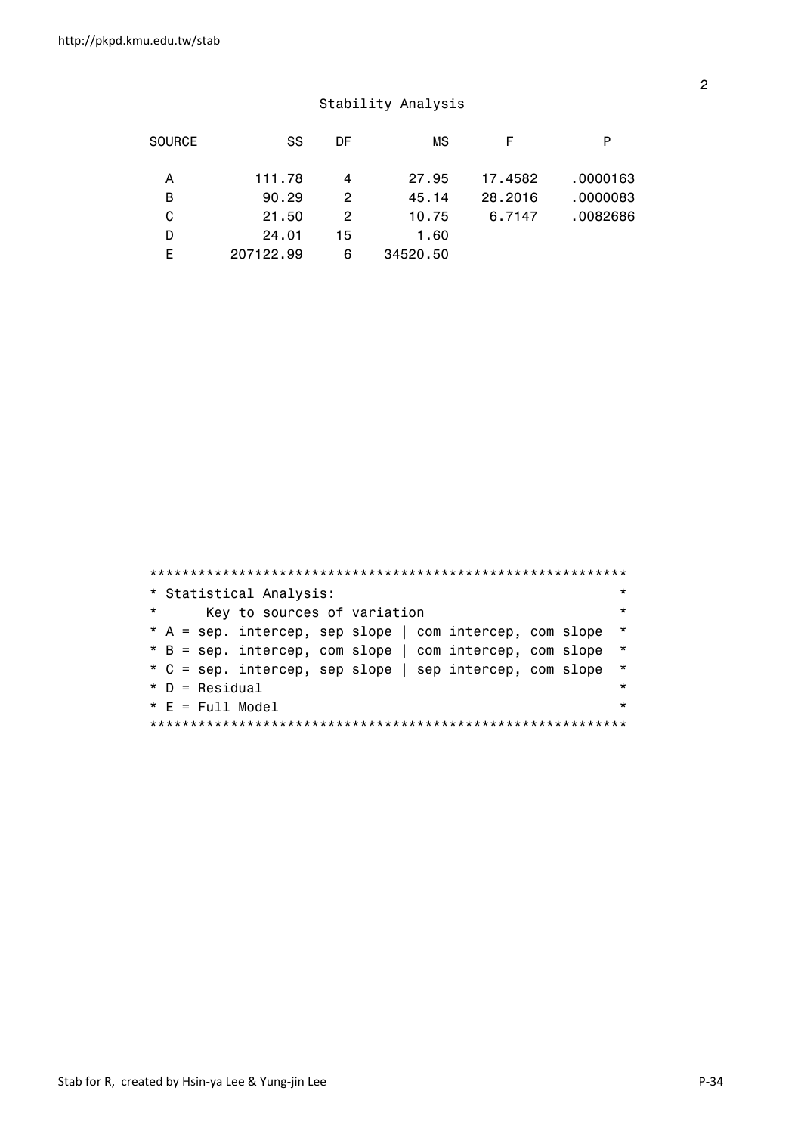| <b>SOURCE</b> | SS        | DF | ΜS       | F       | P        |
|---------------|-----------|----|----------|---------|----------|
|               |           |    |          |         |          |
| A             | 111.78    | 4  | 27.95    | 17.4582 | .0000163 |
| B             | 90.29     | 2  | 45.14    | 28,2016 | .0000083 |
| C             | 21.50     | 2  | 10.75    | 6.7147  | .0082686 |
| D             | 24.01     | 15 | 1.60     |         |          |
| F             | 207122.99 | 6  | 34520.50 |         |          |

|          | * Statistical Analysis:                                  | $\star$ |
|----------|----------------------------------------------------------|---------|
| $^\star$ | Key to sources of variation                              | $\star$ |
|          | * A = sep. intercep, sep slope   com intercep, com slope | $\star$ |
|          | * B = sep. intercep, com slope   com intercep, com slope | $\star$ |
|          | * C = sep. intercep, sep slope   sep intercep, com slope | $\star$ |
|          | $*$ D = Residual                                         | $\star$ |
|          | $* E = Full Model$                                       | $\star$ |
|          |                                                          |         |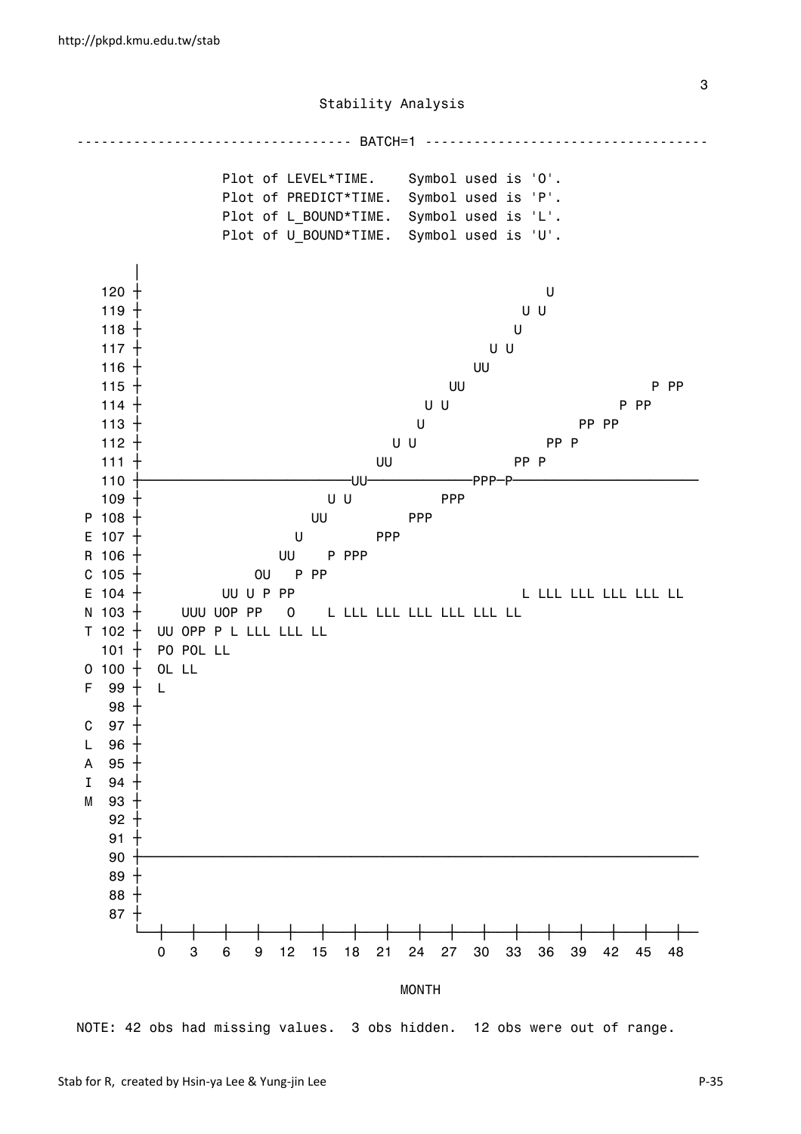

NOTE: 42 obs had missing values. 3 obs hidden. 12 obs were out of range.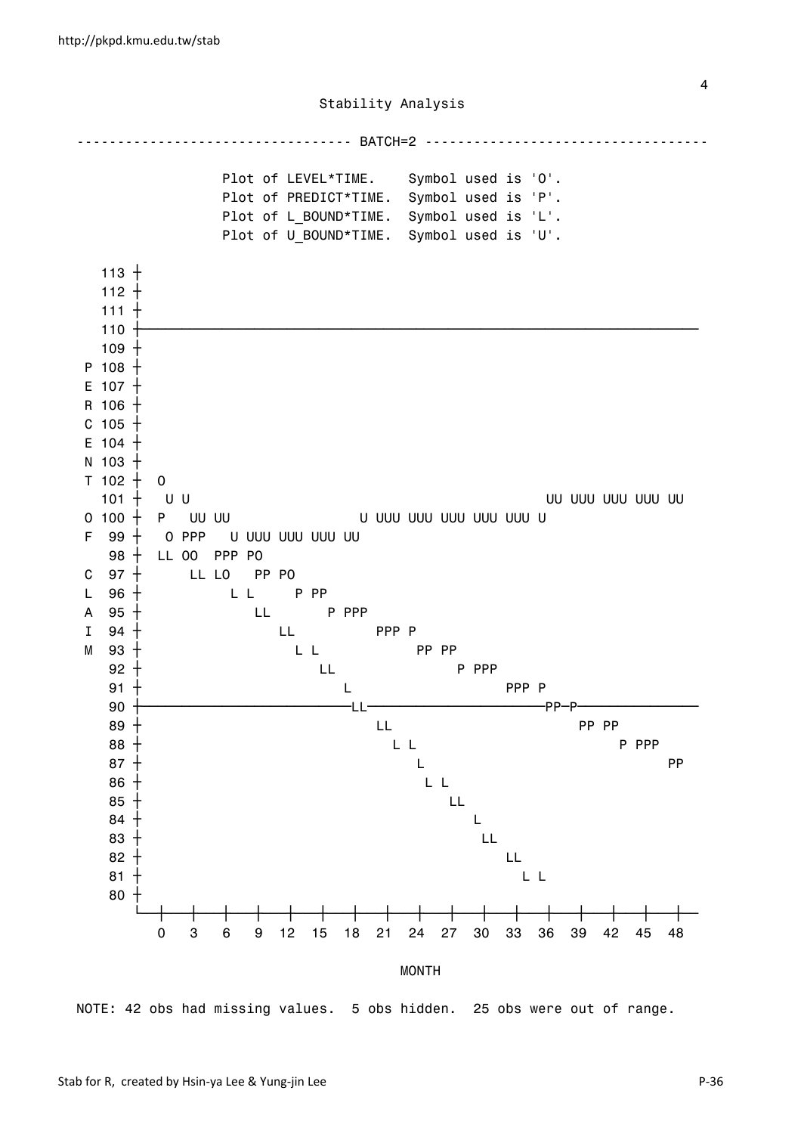

NOTE: 42 obs had missing values. 5 obs hidden. 25 obs were out of range.

4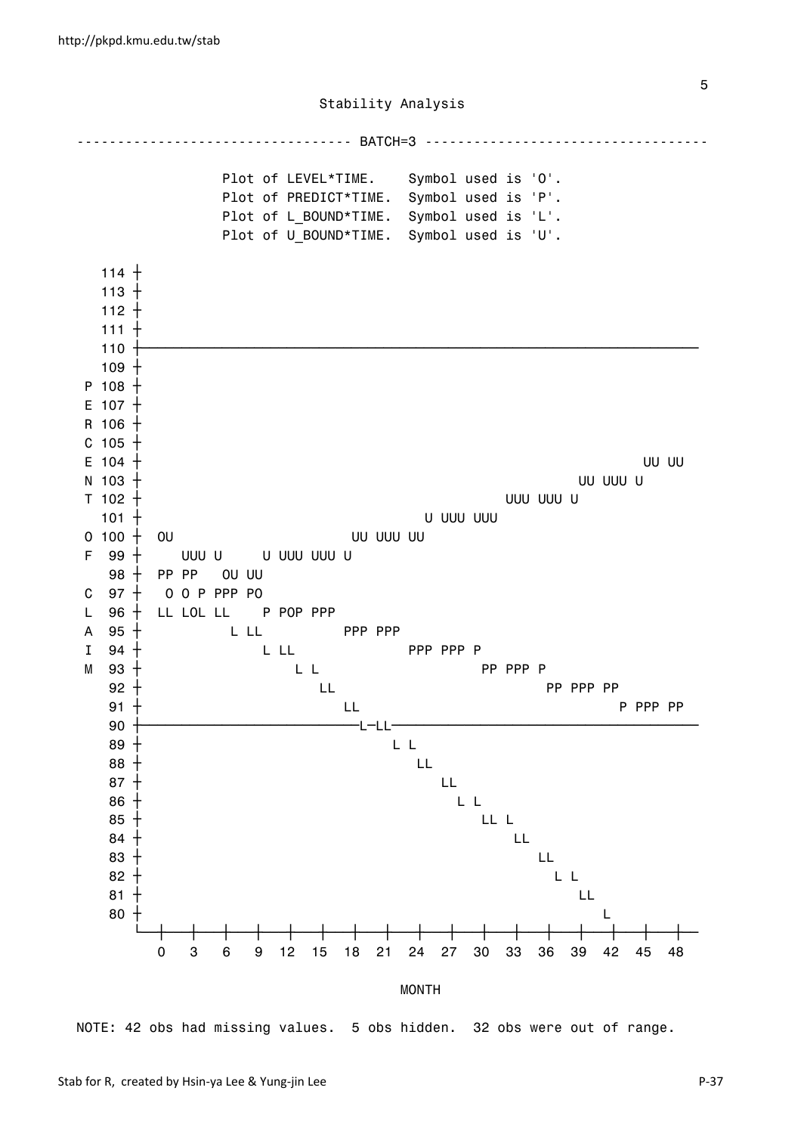

NOTE: 42 obs had missing values. 5 obs hidden. 32 obs were out of range.

the contract of the contract of the contract of the contract of the contract of the contract of the contract of the contract of the contract of the contract of the contract of the contract of the contract of the contract o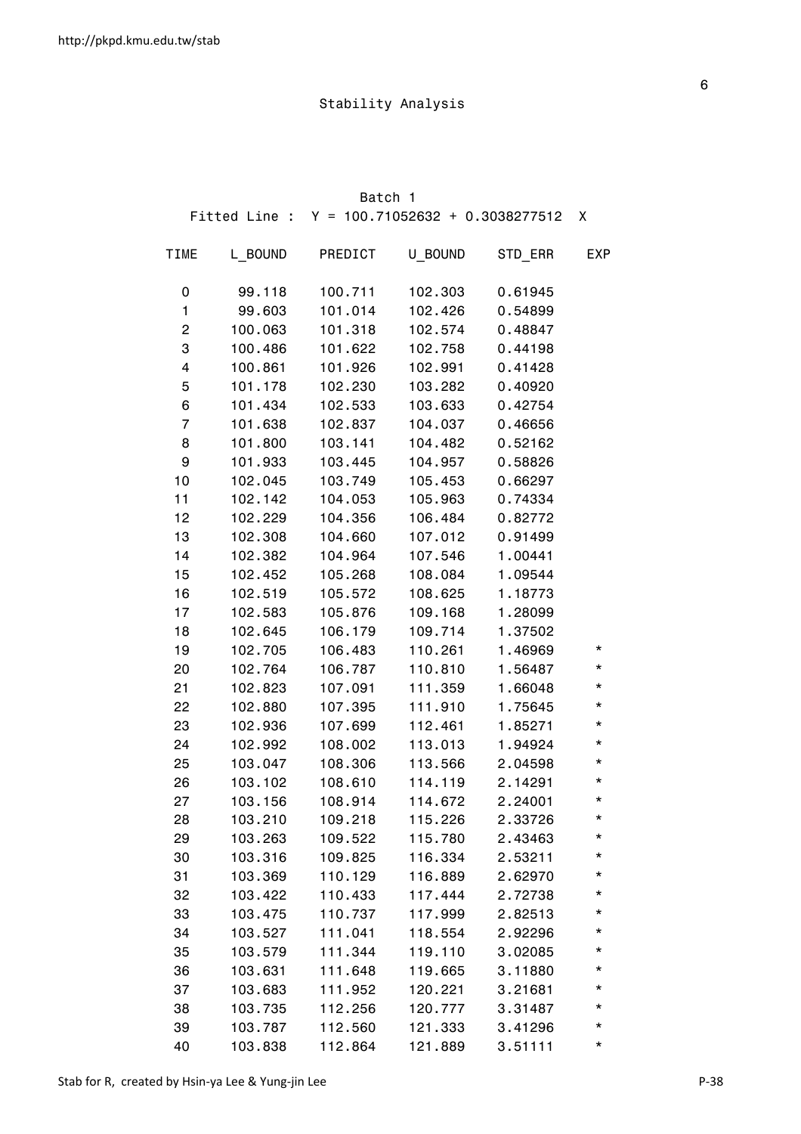|                |         | Batch 1                                         |         |         |            |
|----------------|---------|-------------------------------------------------|---------|---------|------------|
|                |         | Fitted Line : $Y = 100.71052632 + 0.3038277512$ |         |         | Χ          |
| <b>TIME</b>    | L BOUND | PREDICT                                         | U BOUND | STD_ERR | <b>EXP</b> |
| 0              | 99.118  | 100.711                                         | 102.303 | 0.61945 |            |
| 1              | 99.603  | 101.014                                         | 102.426 | 0.54899 |            |
| 2              | 100.063 | 101.318                                         | 102.574 | 0.48847 |            |
| 3              | 100.486 | 101.622                                         | 102.758 | 0.44198 |            |
| 4              | 100.861 | 101.926                                         | 102.991 | 0.41428 |            |
| 5              | 101.178 | 102.230                                         | 103.282 | 0.40920 |            |
| 6              | 101.434 | 102.533                                         | 103.633 | 0.42754 |            |
| $\overline{7}$ | 101.638 | 102.837                                         | 104.037 | 0.46656 |            |
| 8              | 101.800 | 103.141                                         | 104.482 | 0.52162 |            |
| 9              | 101.933 | 103.445                                         | 104.957 | 0.58826 |            |
| 10             | 102.045 | 103.749                                         | 105.453 | 0.66297 |            |
| 11             | 102.142 | 104.053                                         | 105.963 | 0.74334 |            |
| 12             | 102.229 | 104.356                                         | 106.484 | 0.82772 |            |
| 13             | 102.308 | 104.660                                         | 107.012 | 0.91499 |            |
| 14             | 102.382 | 104.964                                         | 107.546 | 1.00441 |            |
| 15             | 102.452 | 105.268                                         | 108.084 | 1.09544 |            |
| 16             | 102.519 | 105.572                                         | 108.625 | 1.18773 |            |
| 17             | 102.583 | 105.876                                         | 109.168 | 1.28099 |            |
| 18             | 102.645 | 106.179                                         | 109.714 | 1.37502 |            |
| 19             | 102.705 | 106.483                                         | 110.261 | 1.46969 | *          |
| 20             | 102.764 | 106.787                                         | 110.810 | 1.56487 | *          |
| 21             | 102.823 | 107.091                                         | 111.359 | 1.66048 | *          |
| 22             | 102.880 | 107.395                                         | 111.910 | 1.75645 | *          |
| 23             | 102.936 | 107.699                                         | 112.461 | 1.85271 | $^\star$   |
| 24             | 102.992 | 108.002                                         | 113.013 | 1.94924 | $^\star$   |
| 25             | 103.047 | 108.306                                         | 113.566 | 2.04598 | $^\star$   |
| 26             | 103.102 | 108.610                                         | 114.119 | 2.14291 | $^\star$   |
| 27             | 103.156 | 108.914                                         | 114.672 | 2.24001 | *          |
| 28             | 103.210 | 109.218                                         | 115.226 | 2.33726 | *          |
| 29             | 103.263 | 109.522                                         | 115.780 | 2.43463 | *          |
| 30             | 103.316 | 109.825                                         | 116.334 | 2.53211 | *          |
| 31             | 103.369 | 110.129                                         | 116.889 | 2.62970 | *          |
| 32             | 103.422 | 110.433                                         | 117.444 | 2.72738 | *          |
| 33             | 103.475 | 110.737                                         | 117.999 | 2.82513 | *          |
| 34             | 103.527 | 111.041                                         | 118.554 | 2.92296 | *          |
| 35             | 103.579 | 111.344                                         | 119.110 | 3.02085 | *          |
| 36             | 103.631 | 111.648                                         | 119.665 | 3.11880 | *          |
| 37             | 103.683 | 111.952                                         | 120.221 | 3.21681 | *          |
| 38             | 103.735 | 112.256                                         | 120.777 | 3.31487 | *          |
| 39             | 103.787 | 112.560                                         | 121.333 | 3.41296 | *          |
| 40             | 103.838 | 112.864                                         | 121.889 | 3.51111 | *          |

<u>6. Album and the contract of the contract of the contract of the contract of the contract of the contract of the contract of the contract of the contract of the contract of the contract of the contract of the contract of </u>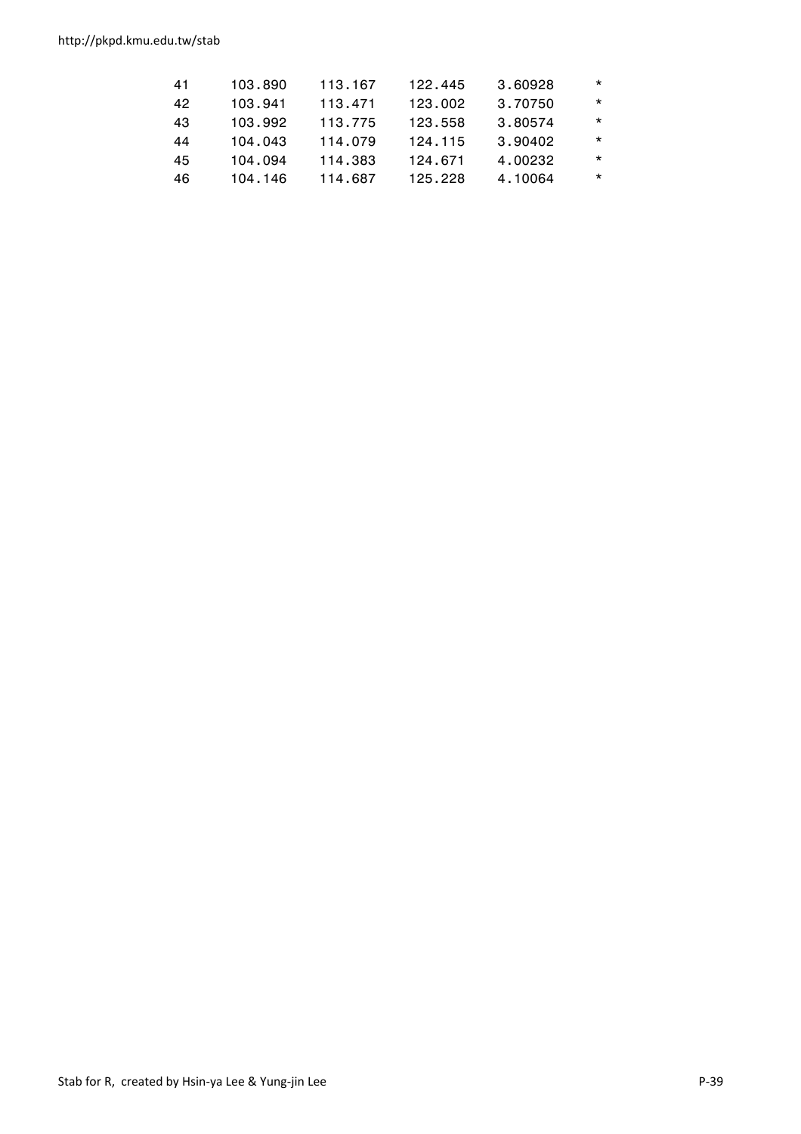http://pkpd.kmu.edu.tw/stab

| 123.002<br>42<br>113.471<br>3.70750<br>103.941<br>43<br>3.80574<br>103.992<br>113.775<br>123.558<br>3.90402<br>114.079<br>124.115<br>104.043<br>44<br>4.00232<br>45<br>114.383<br>104.094<br>124.671<br>4.10064<br>114.687<br>46<br>125.228<br>104.146 | 41 | 103.890 | 113.167 | 122.445 | 3.60928 | $\star$ |
|--------------------------------------------------------------------------------------------------------------------------------------------------------------------------------------------------------------------------------------------------------|----|---------|---------|---------|---------|---------|
|                                                                                                                                                                                                                                                        |    |         |         |         |         | $\star$ |
|                                                                                                                                                                                                                                                        |    |         |         |         |         | $\star$ |
|                                                                                                                                                                                                                                                        |    |         |         |         |         | $\star$ |
|                                                                                                                                                                                                                                                        |    |         |         |         |         | $\star$ |
|                                                                                                                                                                                                                                                        |    |         |         |         |         | $\star$ |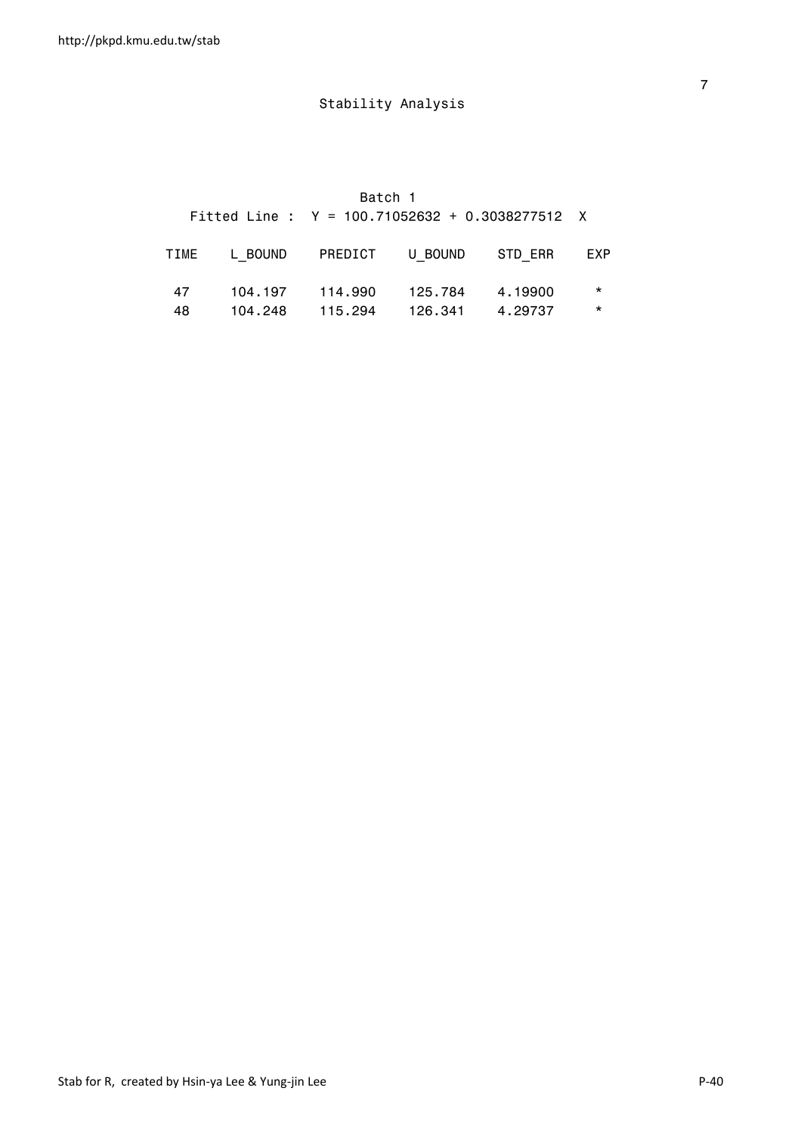Batch 1

|     | Fitted Line : $Y = 100.71052632 + 0.3038277512$ X |                           |         |         |
|-----|---------------------------------------------------|---------------------------|---------|---------|
|     | TIME LBOUND PREDICT UBOUND STDERR EXP             |                           |         |         |
| 47  |                                                   | 104.197  114.990  125.784 | 4.19900 | $\star$ |
| 48. |                                                   |                           | 4.29737 | $\star$ |

<u>7</u> The contract of the contract of the contract of the contract of the contract of the contract of the contract of the contract of the contract of the contract of the contract of the contract of the contract of the contra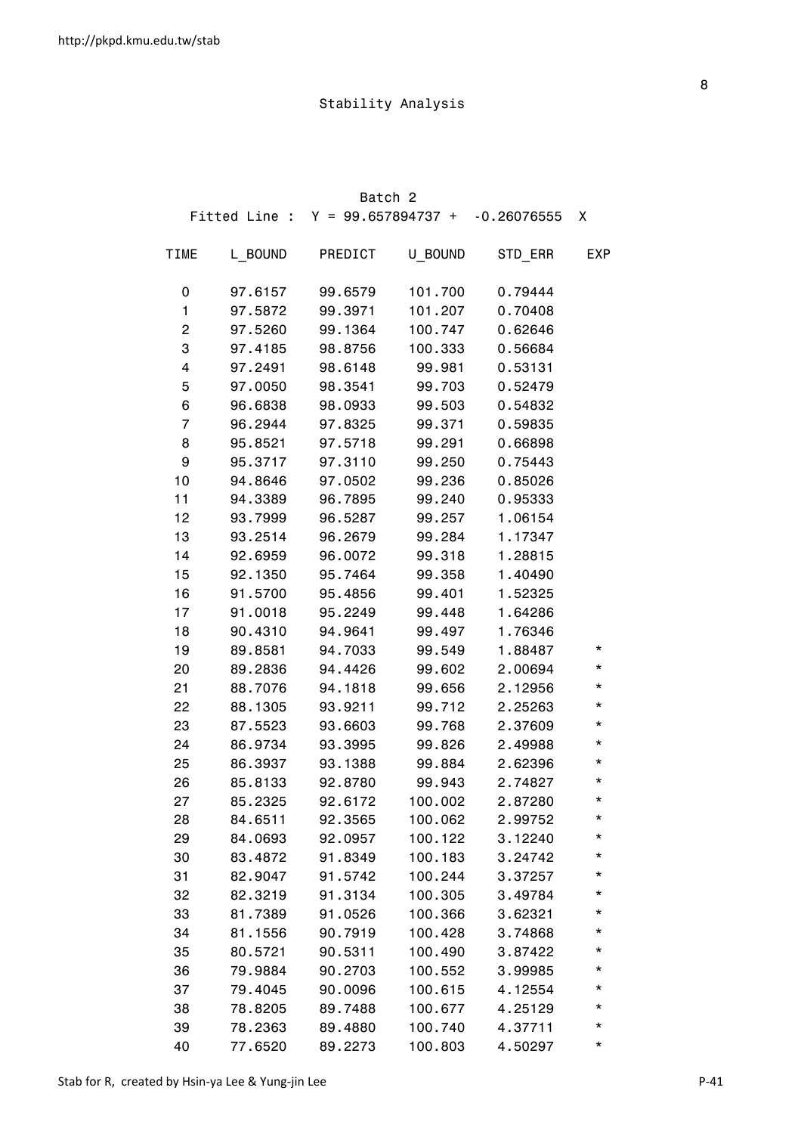|             |         | Batch 2                            |         |               |            |
|-------------|---------|------------------------------------|---------|---------------|------------|
|             |         | Fitted Line : $Y = 99.657894737 +$ |         | $-0.26076555$ | X          |
| <b>TIME</b> | L BOUND | PREDICT                            | U BOUND | STD_ERR       | <b>EXP</b> |
| 0           | 97.6157 | 99.6579                            | 101.700 | 0.79444       |            |
| 1           | 97.5872 | 99.3971                            | 101.207 | 0.70408       |            |
| 2           | 97.5260 | 99.1364                            | 100.747 | 0.62646       |            |
| 3           | 97.4185 | 98.8756                            | 100.333 | 0.56684       |            |
| 4           | 97.2491 | 98.6148                            | 99.981  | 0.53131       |            |
| 5           | 97.0050 | 98.3541                            | 99.703  | 0.52479       |            |
| 6           | 96.6838 | 98.0933                            | 99.503  | 0.54832       |            |
| 7           | 96.2944 | 97.8325                            | 99.371  | 0.59835       |            |
| 8           | 95.8521 | 97.5718                            | 99.291  | 0.66898       |            |
| 9           | 95.3717 | 97.3110                            | 99.250  | 0.75443       |            |
| 10          | 94.8646 | 97.0502                            | 99.236  | 0.85026       |            |
| 11          | 94.3389 | 96.7895                            | 99.240  | 0.95333       |            |
| 12          | 93.7999 | 96.5287                            | 99.257  | 1.06154       |            |
| 13          | 93.2514 | 96.2679                            | 99.284  | 1.17347       |            |
| 14          | 92.6959 | 96.0072                            | 99.318  | 1.28815       |            |
| 15          | 92.1350 | 95.7464                            | 99.358  | 1.40490       |            |
| 16          | 91.5700 | 95.4856                            | 99.401  | 1.52325       |            |
| 17          | 91.0018 | 95.2249                            | 99.448  | 1.64286       |            |
| 18          | 90.4310 | 94.9641                            | 99.497  | 1.76346       |            |
| 19          | 89.8581 | 94.7033                            | 99.549  | 1.88487       | *          |
| 20          | 89.2836 | 94.4426                            | 99.602  | 2.00694       | *          |
| 21          | 88.7076 | 94.1818                            | 99.656  | 2.12956       | *          |
| 22          | 88.1305 | 93.9211                            | 99.712  | 2.25263       | *          |
| 23          | 87.5523 | 93.6603                            | 99.768  | 2.37609       | *          |
| 24          | 86.9734 | 93.3995                            | 99.826  | 2.49988       | *          |
| 25          | 86.3937 | 93.1388                            | 99.884  | 2.62396       | *          |
| 26          | 85.8133 | 92.8780                            | 99.943  | 2.74827       | *          |
| 27          | 85.2325 | 92.6172                            | 100.002 | 2.87280       | *          |
| 28          | 84.6511 | 92.3565                            | 100.062 | 2.99752       | *          |
| 29          | 84.0693 | 92.0957                            | 100.122 | 3.12240       | *          |
| 30          | 83.4872 | 91.8349                            | 100.183 | 3.24742       | *          |
| 31          | 82.9047 | 91.5742                            | 100.244 | 3.37257       | *          |
| 32          | 82.3219 | 91.3134                            | 100.305 | 3.49784       | *          |
| 33          | 81.7389 | 91.0526                            | 100.366 | 3.62321       | *          |
| 34          | 81.1556 | 90.7919                            | 100.428 | 3.74868       | *          |
| 35          | 80.5721 | 90.5311                            | 100.490 | 3.87422       | *          |
| 36          | 79.9884 | 90.2703                            | 100.552 | 3.99985       | *          |
| 37          | 79.4045 | 90.0096                            | 100.615 | 4.12554       | *          |
| 38          | 78.8205 | 89.7488                            | 100.677 | 4.25129       | *          |
| 39          | 78.2363 | 89.4880                            | 100.740 | 4.37711       | *          |
| 40          | 77.6520 | 89.2273                            | 100.803 | 4.50297       | *          |

<u>a sa mga sangayong mga sangayong mga sangayong mga sangayong mga sangayong mga sangayong mga sangayong mga sa</u>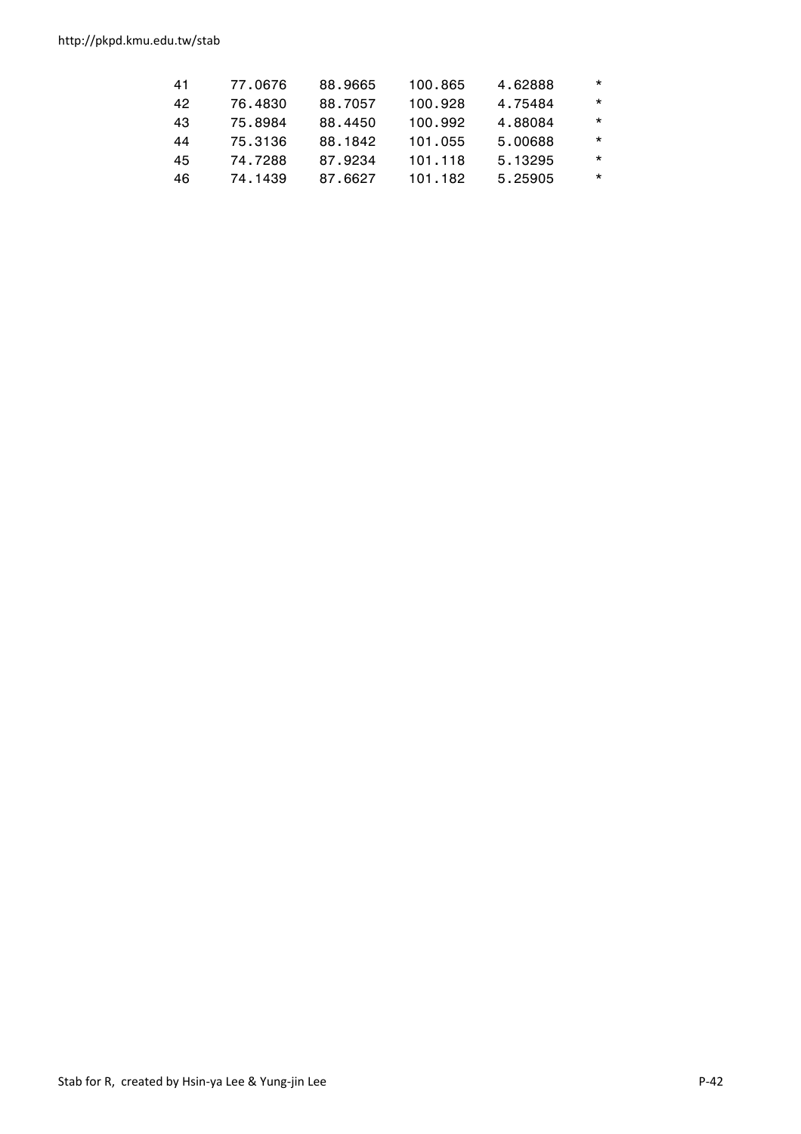http://pkpd.kmu.edu.tw/stab

| $\star$<br>4.75484<br>88.7057<br>100.928<br>42<br>76.4830<br>$\star$<br>88.4450<br>100.992<br>4.88084<br>43<br>75.8984<br>$\star$<br>5.00688<br>88.1842<br>101.055<br>75.3136<br>44<br>$\star$<br>5.13295<br>87.9234<br>74.7288<br>45<br>101.118<br>$\star$<br>5.25905<br>87.6627<br>101.182<br>46<br>74.1439 | 41 | 77.0676 | 88.9665 | 100.865 | 4.62888 | $\star$ |
|---------------------------------------------------------------------------------------------------------------------------------------------------------------------------------------------------------------------------------------------------------------------------------------------------------------|----|---------|---------|---------|---------|---------|
|                                                                                                                                                                                                                                                                                                               |    |         |         |         |         |         |
|                                                                                                                                                                                                                                                                                                               |    |         |         |         |         |         |
|                                                                                                                                                                                                                                                                                                               |    |         |         |         |         |         |
|                                                                                                                                                                                                                                                                                                               |    |         |         |         |         |         |
|                                                                                                                                                                                                                                                                                                               |    |         |         |         |         |         |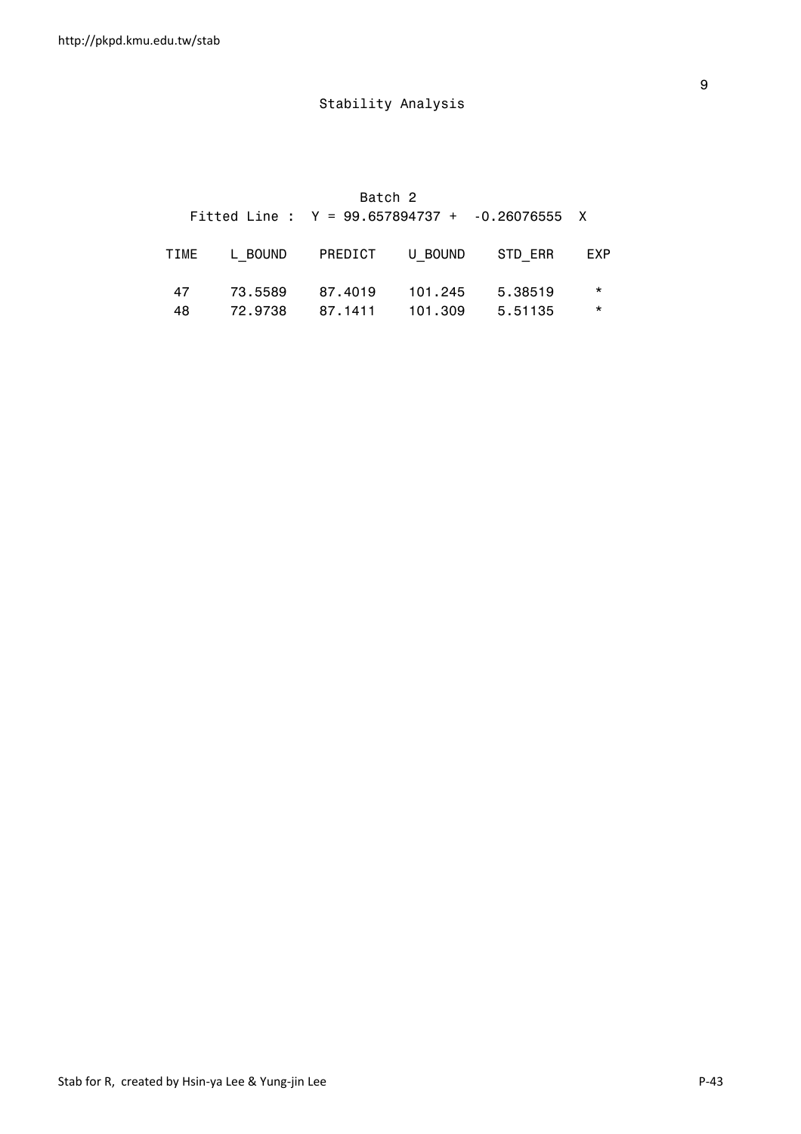|      |         | Batch 2                 |         |                                                  |         |
|------|---------|-------------------------|---------|--------------------------------------------------|---------|
|      |         |                         |         | Fitted Line : $Y = 99.657894737 + -0.26076555 X$ |         |
| TIME |         | L BOUND PREDICT U BOUND |         | STD ERR                                          | EXP     |
| 47   | 73.5589 | 87.4019                 | 101.245 | 5.38519                                          | $\star$ |
| 48   | 72.9738 | 87.1411                 | 101.309 | 5.51135                                          | $\star$ |

en de la construction de la construction de la construction de la construction de la construction de la constr<br>1980 : le construction de la construction de la construction de la construction de la construction de la const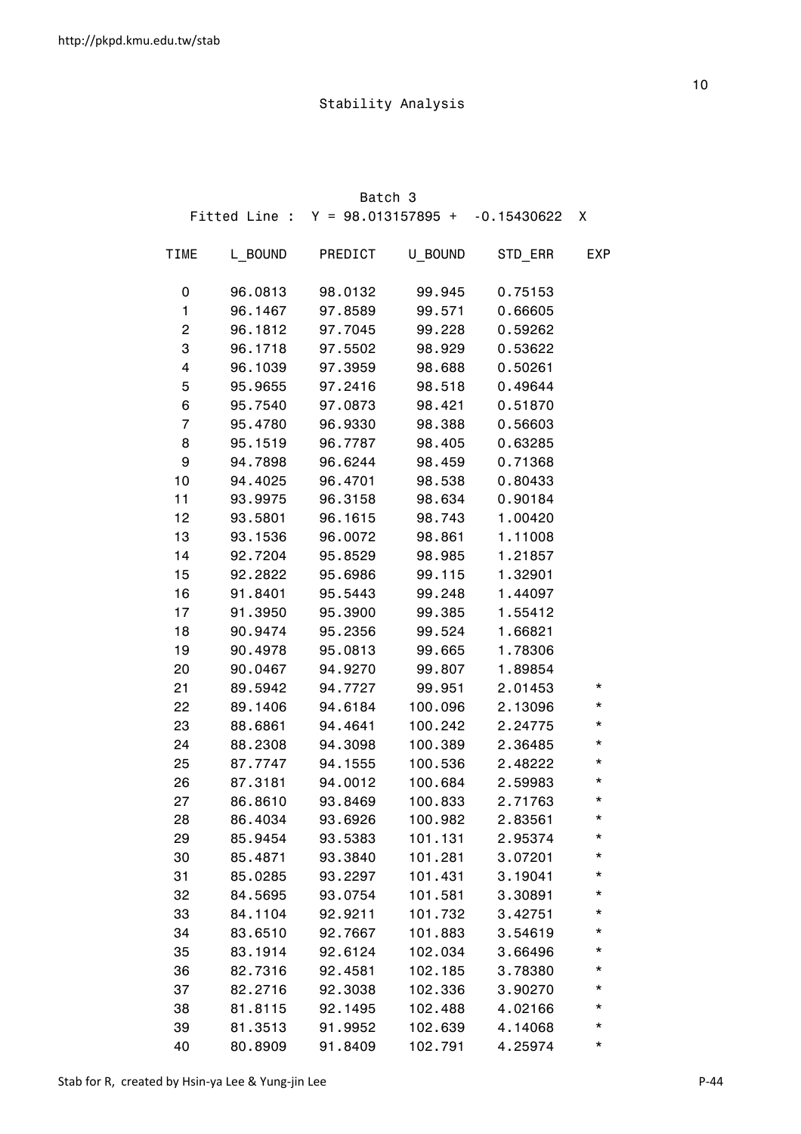|             |         | Batch 3                            |         |               |            |
|-------------|---------|------------------------------------|---------|---------------|------------|
|             |         | Fitted Line : $Y = 98.013157895 +$ |         | $-0.15430622$ | X          |
| <b>TIME</b> | L BOUND | PREDICT                            | U BOUND | STD_ERR       | <b>EXP</b> |
| 0           | 96.0813 | 98.0132                            | 99.945  | 0.75153       |            |
| 1           | 96.1467 | 97.8589                            | 99.571  | 0.66605       |            |
| 2           | 96.1812 | 97.7045                            | 99.228  | 0.59262       |            |
| 3           | 96.1718 | 97.5502                            | 98.929  | 0.53622       |            |
| 4           | 96.1039 | 97.3959                            | 98.688  | 0.50261       |            |
| 5           | 95.9655 | 97.2416                            | 98.518  | 0.49644       |            |
| 6           | 95.7540 | 97.0873                            | 98.421  | 0.51870       |            |
| 7           | 95.4780 | 96.9330                            | 98.388  | 0.56603       |            |
| 8           | 95.1519 | 96.7787                            | 98.405  | 0.63285       |            |
| 9           | 94.7898 | 96.6244                            | 98.459  | 0.71368       |            |
| 10          | 94.4025 | 96.4701                            | 98.538  | 0.80433       |            |
| 11          | 93.9975 | 96.3158                            | 98.634  | 0.90184       |            |
| 12          | 93.5801 | 96.1615                            | 98.743  | 1.00420       |            |
| 13          | 93.1536 | 96.0072                            | 98.861  | 1.11008       |            |
| 14          | 92.7204 | 95.8529                            | 98.985  | 1.21857       |            |
| 15          | 92.2822 | 95.6986                            | 99.115  | 1.32901       |            |
| 16          | 91.8401 | 95.5443                            | 99.248  | 1.44097       |            |
| 17          | 91.3950 | 95.3900                            | 99.385  | 1.55412       |            |
| 18          | 90.9474 | 95.2356                            | 99.524  | 1.66821       |            |
| 19          | 90.4978 | 95.0813                            | 99.665  | 1.78306       |            |
| 20          | 90.0467 | 94.9270                            | 99.807  | 1.89854       |            |
| 21          | 89.5942 | 94.7727                            | 99.951  | 2.01453       | *          |
| 22          | 89.1406 | 94.6184                            | 100.096 | 2.13096       | *          |
| 23          | 88.6861 | 94.4641                            | 100.242 | 2.24775       | *          |
| 24          | 88.2308 | 94.3098                            | 100.389 | 2.36485       | $^\star$   |
| 25          | 87.7747 | 94.1555                            | 100.536 | 2.48222       | $^\star$   |
| 26          | 87.3181 | 94.0012                            | 100.684 | 2.59983       | $^\star$   |
| 27          | 86.8610 | 93.8469                            | 100.833 | 2.71763       | *          |
| 28          | 86.4034 | 93.6926                            | 100.982 | 2.83561       | *          |
| 29          | 85.9454 | 93.5383                            | 101.131 | 2.95374       | *          |
| 30          | 85.4871 | 93.3840                            | 101.281 | 3.07201       | *          |
| 31          | 85.0285 | 93.2297                            | 101.431 | 3.19041       | *          |
| 32          | 84.5695 | 93.0754                            | 101.581 | 3.30891       | *          |
| 33          | 84.1104 | 92.9211                            | 101.732 | 3.42751       | *          |
| 34          | 83.6510 | 92.7667                            | 101.883 | 3.54619       | *          |
| 35          | 83.1914 | 92.6124                            | 102.034 | 3.66496       | *          |
| 36          | 82.7316 | 92.4581                            | 102.185 | 3.78380       | *          |
| 37          | 82.2716 | 92.3038                            | 102.336 | 3.90270       | *          |
| 38          | 81.8115 | 92.1495                            | 102.488 | 4.02166       | *          |
| 39          | 81.3513 | 91.9952                            | 102.639 | 4.14068       | *          |
| 40          | 80.8909 | 91.8409                            | 102.791 | 4.25974       | *          |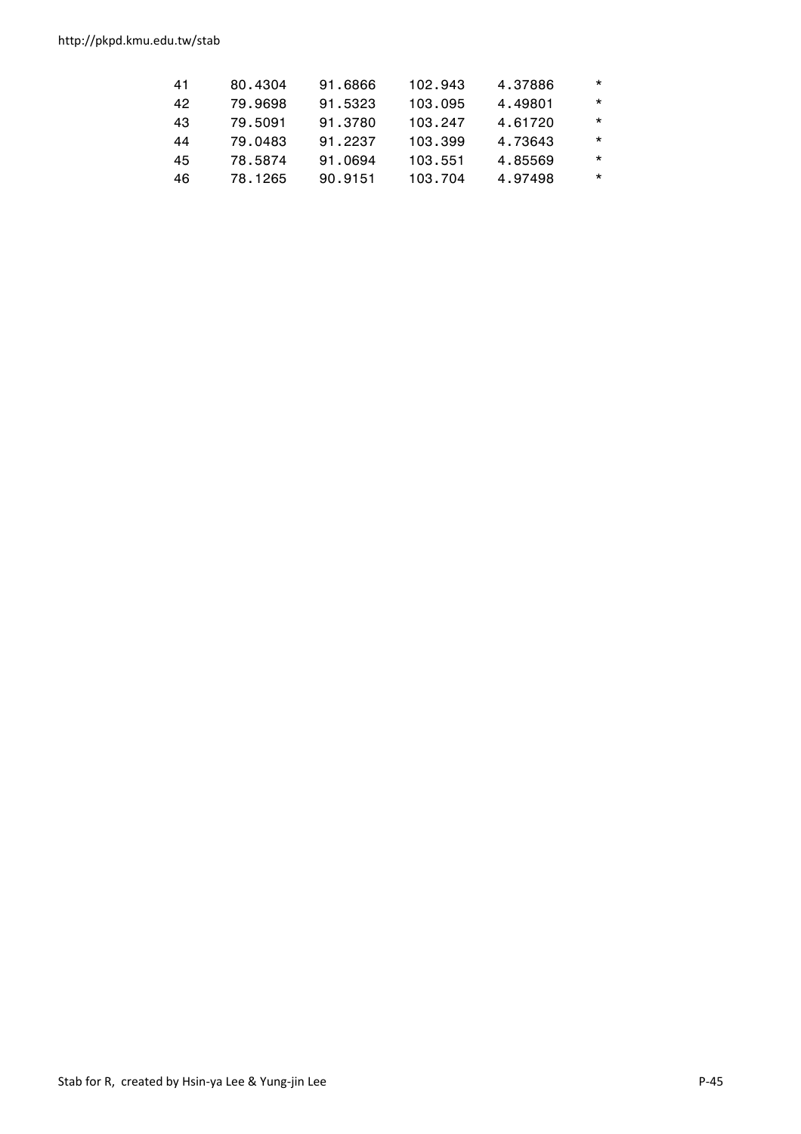| 4.49801<br>79.9698<br>91.5323<br>42<br>103.095<br>91.3780<br>4.61720<br>43<br>103.247<br>79.5091<br>91.2237<br>4.73643<br>103.399<br>79.0483<br>44<br>91.0694<br>4.85569<br>45<br>103.551<br>78.5874<br>90.9151<br>4.97498<br>46<br>78.1265<br>103.704 | 41 | 80.4304 | 91.6866 | 102.943 | 4.37886 | $\star$ |
|--------------------------------------------------------------------------------------------------------------------------------------------------------------------------------------------------------------------------------------------------------|----|---------|---------|---------|---------|---------|
|                                                                                                                                                                                                                                                        |    |         |         |         |         | $\star$ |
|                                                                                                                                                                                                                                                        |    |         |         |         |         | $\star$ |
|                                                                                                                                                                                                                                                        |    |         |         |         |         | $\star$ |
|                                                                                                                                                                                                                                                        |    |         |         |         |         | $\star$ |
|                                                                                                                                                                                                                                                        |    |         |         |         |         | $\star$ |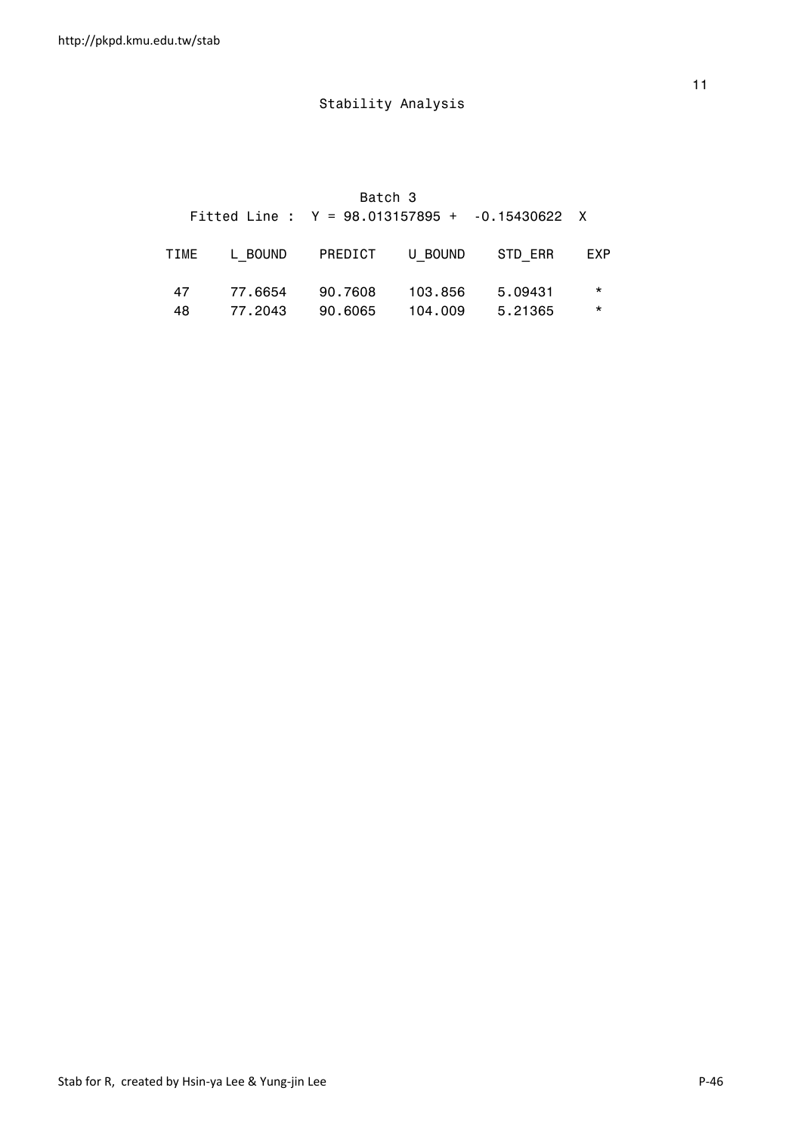|      |         | Batch 3 |                 | Fitted Line : $Y = 98.013157895 + .0.15430622$ X |          |
|------|---------|---------|-----------------|--------------------------------------------------|----------|
| TIME | L BOUND |         | PREDICT U BOUND | STD ERR                                          | EXP      |
| 47   | 77.6654 | 90.7608 | 103.856         | 5.09431                                          | $\star$  |
| 48   | 77.2043 | 90.6065 | 104.009         | 5.21365                                          | $^\star$ |